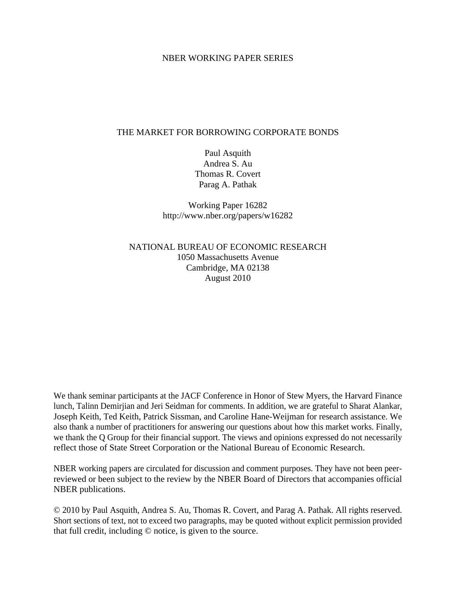## NBER WORKING PAPER SERIES

## THE MARKET FOR BORROWING CORPORATE BONDS

Paul Asquith Andrea S. Au Thomas R. Covert Parag A. Pathak

Working Paper 16282 http://www.nber.org/papers/w16282

NATIONAL BUREAU OF ECONOMIC RESEARCH 1050 Massachusetts Avenue Cambridge, MA 02138 August 2010

We thank seminar participants at the JACF Conference in Honor of Stew Myers, the Harvard Finance lunch, Talinn Demirjian and Jeri Seidman for comments. In addition, we are grateful to Sharat Alankar, Joseph Keith, Ted Keith, Patrick Sissman, and Caroline Hane-Weijman for research assistance. We also thank a number of practitioners for answering our questions about how this market works. Finally, we thank the Q Group for their financial support. The views and opinions expressed do not necessarily reflect those of State Street Corporation or the National Bureau of Economic Research.

NBER working papers are circulated for discussion and comment purposes. They have not been peerreviewed or been subject to the review by the NBER Board of Directors that accompanies official NBER publications.

© 2010 by Paul Asquith, Andrea S. Au, Thomas R. Covert, and Parag A. Pathak. All rights reserved. Short sections of text, not to exceed two paragraphs, may be quoted without explicit permission provided that full credit, including © notice, is given to the source.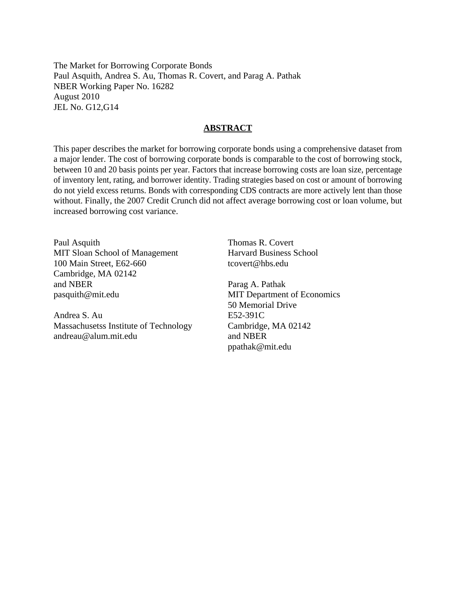The Market for Borrowing Corporate Bonds Paul Asquith, Andrea S. Au, Thomas R. Covert, and Parag A. Pathak NBER Working Paper No. 16282 August 2010 JEL No. G12,G14

## **ABSTRACT**

This paper describes the market for borrowing corporate bonds using a comprehensive dataset from a major lender. The cost of borrowing corporate bonds is comparable to the cost of borrowing stock, between 10 and 20 basis points per year. Factors that increase borrowing costs are loan size, percentage of inventory lent, rating, and borrower identity. Trading strategies based on cost or amount of borrowing do not yield excess returns. Bonds with corresponding CDS contracts are more actively lent than those without. Finally, the 2007 Credit Crunch did not affect average borrowing cost or loan volume, but increased borrowing cost variance.

Paul Asquith MIT Sloan School of Management 100 Main Street, E62-660 Cambridge, MA 02142 and NBER pasquith@mit.edu

Andrea S. Au Massachusetss Institute of Technology andreau@alum.mit.edu

Thomas R. Covert Harvard Business School tcovert@hbs.edu

Parag A. Pathak MIT Department of Economics 50 Memorial Drive E52-391C Cambridge, MA 02142 and NBER ppathak@mit.edu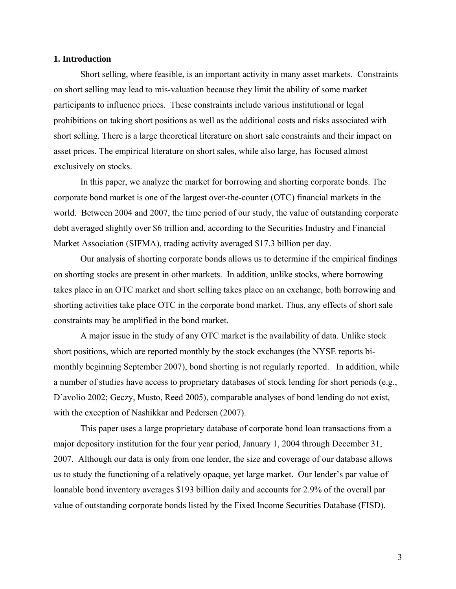## **1. Introduction**

Short selling, where feasible, is an important activity in many asset markets. Constraints on short selling may lead to mis-valuation because they limit the ability of some market participants to influence prices. These constraints include various institutional or legal prohibitions on taking short positions as well as the additional costs and risks associated with short selling. There is a large theoretical literature on short sale constraints and their impact on asset prices. The empirical literature on short sales, while also large, has focused almost exclusively on stocks.

In this paper, we analyze the market for borrowing and shorting corporate bonds. The corporate bond market is one of the largest over-the-counter (OTC) financial markets in the world. Between 2004 and 2007, the time period of our study, the value of outstanding corporate debt averaged slightly over \$6 trillion and, according to the Securities Industry and Financial Market Association (SIFMA), trading activity averaged \$17.3 billion per day.

Our analysis of shorting corporate bonds allows us to determine if the empirical findings on shorting stocks are present in other markets. In addition, unlike stocks, where borrowing takes place in an OTC market and short selling takes place on an exchange, both borrowing and shorting activities take place OTC in the corporate bond market. Thus, any effects of short sale constraints may be amplified in the bond market.

A major issue in the study of any OTC market is the availability of data. Unlike stock short positions, which are reported monthly by the stock exchanges (the NYSE reports bimonthly beginning September 2007), bond shorting is not regularly reported. In addition, while a number of studies have access to proprietary databases of stock lending for short periods (e.g., D'avolio 2002; Geczy, Musto, Reed 2005), comparable analyses of bond lending do not exist, with the exception of Nashikkar and Pedersen (2007).

This paper uses a large proprietary database of corporate bond loan transactions from a major depository institution for the four year period, January 1, 2004 through December 31, 2007. Although our data is only from one lender, the size and coverage of our database allows us to study the functioning of a relatively opaque, yet large market. Our lender's par value of loanable bond inventory averages \$193 billion daily and accounts for 2.9% of the overall par value of outstanding corporate bonds listed by the Fixed Income Securities Database (FISD).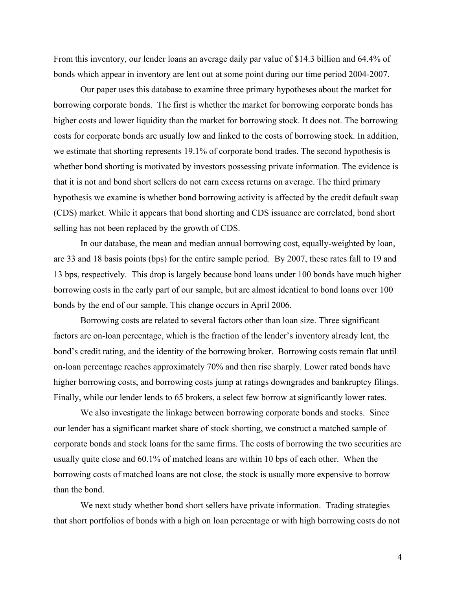From this inventory, our lender loans an average daily par value of \$14.3 billion and 64.4% of bonds which appear in inventory are lent out at some point during our time period 2004-2007.

Our paper uses this database to examine three primary hypotheses about the market for borrowing corporate bonds. The first is whether the market for borrowing corporate bonds has higher costs and lower liquidity than the market for borrowing stock. It does not. The borrowing costs for corporate bonds are usually low and linked to the costs of borrowing stock. In addition, we estimate that shorting represents 19.1% of corporate bond trades. The second hypothesis is whether bond shorting is motivated by investors possessing private information. The evidence is that it is not and bond short sellers do not earn excess returns on average. The third primary hypothesis we examine is whether bond borrowing activity is affected by the credit default swap (CDS) market. While it appears that bond shorting and CDS issuance are correlated, bond short selling has not been replaced by the growth of CDS.

In our database, the mean and median annual borrowing cost, equally-weighted by loan, are 33 and 18 basis points (bps) for the entire sample period. By 2007, these rates fall to 19 and 13 bps, respectively. This drop is largely because bond loans under 100 bonds have much higher borrowing costs in the early part of our sample, but are almost identical to bond loans over 100 bonds by the end of our sample. This change occurs in April 2006.

Borrowing costs are related to several factors other than loan size. Three significant factors are on-loan percentage, which is the fraction of the lender's inventory already lent, the bond's credit rating, and the identity of the borrowing broker. Borrowing costs remain flat until on-loan percentage reaches approximately 70% and then rise sharply. Lower rated bonds have higher borrowing costs, and borrowing costs jump at ratings downgrades and bankruptcy filings. Finally, while our lender lends to 65 brokers, a select few borrow at significantly lower rates.

We also investigate the linkage between borrowing corporate bonds and stocks. Since our lender has a significant market share of stock shorting, we construct a matched sample of corporate bonds and stock loans for the same firms. The costs of borrowing the two securities are usually quite close and 60.1% of matched loans are within 10 bps of each other. When the borrowing costs of matched loans are not close, the stock is usually more expensive to borrow than the bond.

We next study whether bond short sellers have private information. Trading strategies that short portfolios of bonds with a high on loan percentage or with high borrowing costs do not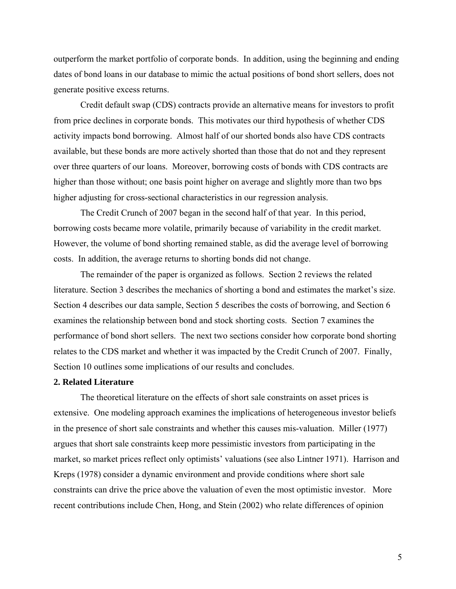outperform the market portfolio of corporate bonds. In addition, using the beginning and ending dates of bond loans in our database to mimic the actual positions of bond short sellers, does not generate positive excess returns.

Credit default swap (CDS) contracts provide an alternative means for investors to profit from price declines in corporate bonds. This motivates our third hypothesis of whether CDS activity impacts bond borrowing. Almost half of our shorted bonds also have CDS contracts available, but these bonds are more actively shorted than those that do not and they represent over three quarters of our loans. Moreover, borrowing costs of bonds with CDS contracts are higher than those without; one basis point higher on average and slightly more than two bps higher adjusting for cross-sectional characteristics in our regression analysis.

The Credit Crunch of 2007 began in the second half of that year. In this period, borrowing costs became more volatile, primarily because of variability in the credit market. However, the volume of bond shorting remained stable, as did the average level of borrowing costs. In addition, the average returns to shorting bonds did not change.

The remainder of the paper is organized as follows. Section 2 reviews the related literature. Section 3 describes the mechanics of shorting a bond and estimates the market's size. Section 4 describes our data sample, Section 5 describes the costs of borrowing, and Section 6 examines the relationship between bond and stock shorting costs. Section 7 examines the performance of bond short sellers. The next two sections consider how corporate bond shorting relates to the CDS market and whether it was impacted by the Credit Crunch of 2007. Finally, Section 10 outlines some implications of our results and concludes.

## **2. Related Literature**

The theoretical literature on the effects of short sale constraints on asset prices is extensive. One modeling approach examines the implications of heterogeneous investor beliefs in the presence of short sale constraints and whether this causes mis-valuation. Miller (1977) argues that short sale constraints keep more pessimistic investors from participating in the market, so market prices reflect only optimists' valuations (see also Lintner 1971). Harrison and Kreps (1978) consider a dynamic environment and provide conditions where short sale constraints can drive the price above the valuation of even the most optimistic investor. More recent contributions include Chen, Hong, and Stein (2002) who relate differences of opinion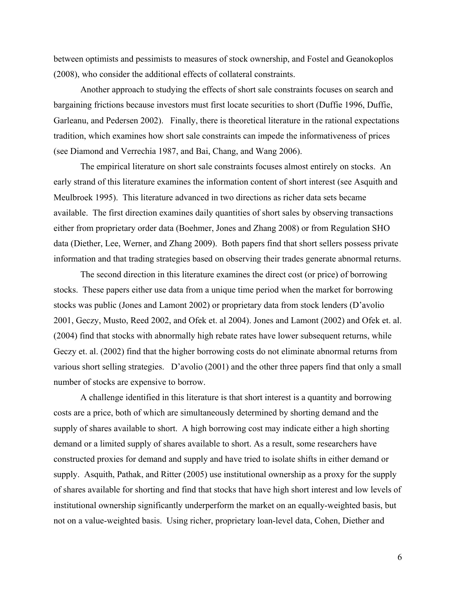between optimists and pessimists to measures of stock ownership, and Fostel and Geanokoplos (2008), who consider the additional effects of collateral constraints.

Another approach to studying the effects of short sale constraints focuses on search and bargaining frictions because investors must first locate securities to short (Duffie 1996, Duffie, Garleanu, and Pedersen 2002). Finally, there is theoretical literature in the rational expectations tradition, which examines how short sale constraints can impede the informativeness of prices (see Diamond and Verrechia 1987, and Bai, Chang, and Wang 2006).

The empirical literature on short sale constraints focuses almost entirely on stocks. An early strand of this literature examines the information content of short interest (see Asquith and Meulbroek 1995). This literature advanced in two directions as richer data sets became available. The first direction examines daily quantities of short sales by observing transactions either from proprietary order data (Boehmer, Jones and Zhang 2008) or from Regulation SHO data (Diether, Lee, Werner, and Zhang 2009). Both papers find that short sellers possess private information and that trading strategies based on observing their trades generate abnormal returns.

The second direction in this literature examines the direct cost (or price) of borrowing stocks. These papers either use data from a unique time period when the market for borrowing stocks was public (Jones and Lamont 2002) or proprietary data from stock lenders (D'avolio 2001, Geczy, Musto, Reed 2002, and Ofek et. al 2004). Jones and Lamont (2002) and Ofek et. al. (2004) find that stocks with abnormally high rebate rates have lower subsequent returns, while Geczy et. al. (2002) find that the higher borrowing costs do not eliminate abnormal returns from various short selling strategies. D'avolio (2001) and the other three papers find that only a small number of stocks are expensive to borrow.

A challenge identified in this literature is that short interest is a quantity and borrowing costs are a price, both of which are simultaneously determined by shorting demand and the supply of shares available to short. A high borrowing cost may indicate either a high shorting demand or a limited supply of shares available to short. As a result, some researchers have constructed proxies for demand and supply and have tried to isolate shifts in either demand or supply. Asquith, Pathak, and Ritter (2005) use institutional ownership as a proxy for the supply of shares available for shorting and find that stocks that have high short interest and low levels of institutional ownership significantly underperform the market on an equally-weighted basis, but not on a value-weighted basis. Using richer, proprietary loan-level data, Cohen, Diether and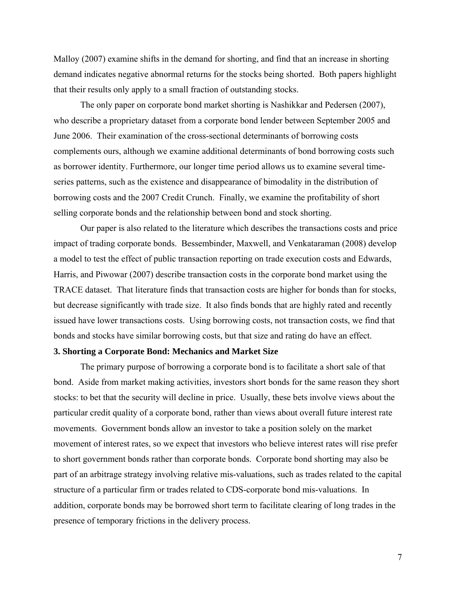Malloy (2007) examine shifts in the demand for shorting, and find that an increase in shorting demand indicates negative abnormal returns for the stocks being shorted. Both papers highlight that their results only apply to a small fraction of outstanding stocks.

The only paper on corporate bond market shorting is Nashikkar and Pedersen (2007), who describe a proprietary dataset from a corporate bond lender between September 2005 and June 2006. Their examination of the cross-sectional determinants of borrowing costs complements ours, although we examine additional determinants of bond borrowing costs such as borrower identity. Furthermore, our longer time period allows us to examine several timeseries patterns, such as the existence and disappearance of bimodality in the distribution of borrowing costs and the 2007 Credit Crunch. Finally, we examine the profitability of short selling corporate bonds and the relationship between bond and stock shorting.

Our paper is also related to the literature which describes the transactions costs and price impact of trading corporate bonds. Bessembinder, Maxwell, and Venkataraman (2008) develop a model to test the effect of public transaction reporting on trade execution costs and Edwards, Harris, and Piwowar (2007) describe transaction costs in the corporate bond market using the TRACE dataset. That literature finds that transaction costs are higher for bonds than for stocks, but decrease significantly with trade size. It also finds bonds that are highly rated and recently issued have lower transactions costs. Using borrowing costs, not transaction costs, we find that bonds and stocks have similar borrowing costs, but that size and rating do have an effect.

## **3. Shorting a Corporate Bond: Mechanics and Market Size**

The primary purpose of borrowing a corporate bond is to facilitate a short sale of that bond. Aside from market making activities, investors short bonds for the same reason they short stocks: to bet that the security will decline in price. Usually, these bets involve views about the particular credit quality of a corporate bond, rather than views about overall future interest rate movements. Government bonds allow an investor to take a position solely on the market movement of interest rates, so we expect that investors who believe interest rates will rise prefer to short government bonds rather than corporate bonds. Corporate bond shorting may also be part of an arbitrage strategy involving relative mis-valuations, such as trades related to the capital structure of a particular firm or trades related to CDS-corporate bond mis-valuations. In addition, corporate bonds may be borrowed short term to facilitate clearing of long trades in the presence of temporary frictions in the delivery process.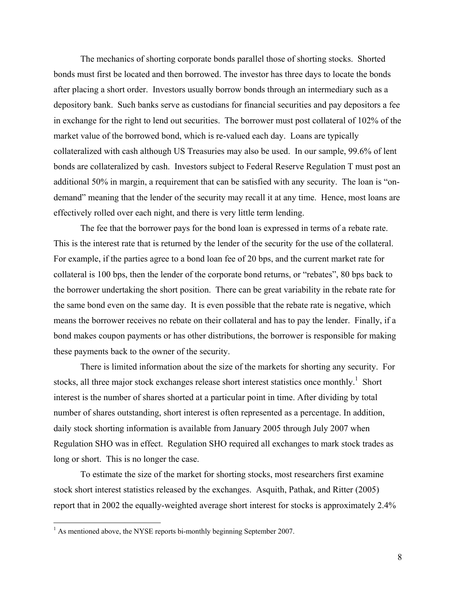The mechanics of shorting corporate bonds parallel those of shorting stocks. Shorted bonds must first be located and then borrowed. The investor has three days to locate the bonds after placing a short order. Investors usually borrow bonds through an intermediary such as a depository bank. Such banks serve as custodians for financial securities and pay depositors a fee in exchange for the right to lend out securities. The borrower must post collateral of 102% of the market value of the borrowed bond, which is re-valued each day. Loans are typically collateralized with cash although US Treasuries may also be used. In our sample, 99.6% of lent bonds are collateralized by cash.Investors subject to Federal Reserve Regulation T must post an additional 50% in margin, a requirement that can be satisfied with any security. The loan is "ondemand" meaning that the lender of the security may recall it at any time. Hence, most loans are effectively rolled over each night, and there is very little term lending.

 The fee that the borrower pays for the bond loan is expressed in terms of a rebate rate. This is the interest rate that is returned by the lender of the security for the use of the collateral. For example, if the parties agree to a bond loan fee of 20 bps, and the current market rate for collateral is 100 bps, then the lender of the corporate bond returns, or "rebates", 80 bps back to the borrower undertaking the short position. There can be great variability in the rebate rate for the same bond even on the same day. It is even possible that the rebate rate is negative, which means the borrower receives no rebate on their collateral and has to pay the lender. Finally, if a bond makes coupon payments or has other distributions, the borrower is responsible for making these payments back to the owner of the security.

There is limited information about the size of the markets for shorting any security. For stocks, all three major stock exchanges release short interest statistics once monthly.<sup>1</sup> Short interest is the number of shares shorted at a particular point in time. After dividing by total number of shares outstanding, short interest is often represented as a percentage. In addition, daily stock shorting information is available from January 2005 through July 2007 when Regulation SHO was in effect. Regulation SHO required all exchanges to mark stock trades as long or short. This is no longer the case.

To estimate the size of the market for shorting stocks, most researchers first examine stock short interest statistics released by the exchanges. Asquith, Pathak, and Ritter (2005) report that in 2002 the equally-weighted average short interest for stocks is approximately 2.4%

 $\overline{a}$ 

 $<sup>1</sup>$  As mentioned above, the NYSE reports bi-monthly beginning September 2007.</sup>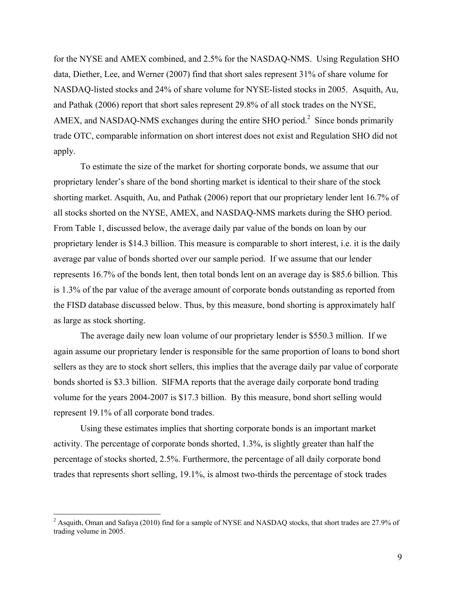for the NYSE and AMEX combined, and 2.5% for the NASDAQ-NMS. Using Regulation SHO data, Diether, Lee, and Werner (2007) find that short sales represent 31% of share volume for NASDAQ-listed stocks and 24% of share volume for NYSE-listed stocks in 2005. Asquith, Au, and Pathak (2006) report that short sales represent 29.8% of all stock trades on the NYSE, AMEX, and NASDAQ-NMS exchanges during the entire SHO period.<sup>2</sup> Since bonds primarily trade OTC, comparable information on short interest does not exist and Regulation SHO did not apply.

To estimate the size of the market for shorting corporate bonds, we assume that our proprietary lender's share of the bond shorting market is identical to their share of the stock shorting market. Asquith, Au, and Pathak (2006) report that our proprietary lender lent 16.7% of all stocks shorted on the NYSE, AMEX, and NASDAQ-NMS markets during the SHO period. From Table 1, discussed below, the average daily par value of the bonds on loan by our proprietary lender is \$14.3 billion. This measure is comparable to short interest, i.e. it is the daily average par value of bonds shorted over our sample period. If we assume that our lender represents 16.7% of the bonds lent, then total bonds lent on an average day is \$85.6 billion. This is 1.3% of the par value of the average amount of corporate bonds outstanding as reported from the FISD database discussed below. Thus, by this measure, bond shorting is approximately half as large as stock shorting.

The average daily new loan volume of our proprietary lender is \$550.3 million. If we again assume our proprietary lender is responsible for the same proportion of loans to bond short sellers as they are to stock short sellers, this implies that the average daily par value of corporate bonds shorted is \$3.3 billion. SIFMA reports that the average daily corporate bond trading volume for the years 2004-2007 is \$17.3 billion. By this measure, bond short selling would represent 19.1% of all corporate bond trades.

Using these estimates implies that shorting corporate bonds is an important market activity. The percentage of corporate bonds shorted, 1.3%, is slightly greater than half the percentage of stocks shorted, 2.5%. Furthermore, the percentage of all daily corporate bond trades that represents short selling, 19.1%, is almost two-thirds the percentage of stock trades

 $\overline{a}$ 

 $2$  Asquith, Oman and Safaya (2010) find for a sample of NYSE and NASDAQ stocks, that short trades are 27.9% of trading volume in 2005.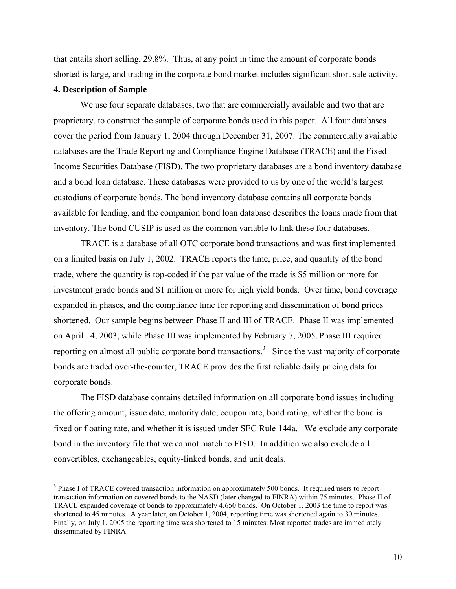that entails short selling, 29.8%. Thus, at any point in time the amount of corporate bonds shorted is large, and trading in the corporate bond market includes significant short sale activity.

## **4. Description of Sample**

1

We use four separate databases, two that are commercially available and two that are proprietary, to construct the sample of corporate bonds used in this paper. All four databases cover the period from January 1, 2004 through December 31, 2007. The commercially available databases are the Trade Reporting and Compliance Engine Database (TRACE) and the Fixed Income Securities Database (FISD). The two proprietary databases are a bond inventory database and a bond loan database. These databases were provided to us by one of the world's largest custodians of corporate bonds. The bond inventory database contains all corporate bonds available for lending, and the companion bond loan database describes the loans made from that inventory. The bond CUSIP is used as the common variable to link these four databases.

TRACE is a database of all OTC corporate bond transactions and was first implemented on a limited basis on July 1, 2002. TRACE reports the time, price, and quantity of the bond trade, where the quantity is top-coded if the par value of the trade is \$5 million or more for investment grade bonds and \$1 million or more for high yield bonds. Over time, bond coverage expanded in phases, and the compliance time for reporting and dissemination of bond prices shortened. Our sample begins between Phase II and III of TRACE. Phase II was implemented on April 14, 2003, while Phase III was implemented by February 7, 2005. Phase III required reporting on almost all public corporate bond transactions.<sup>3</sup> Since the vast majority of corporate bonds are traded over-the-counter, TRACE provides the first reliable daily pricing data for corporate bonds.

The FISD database contains detailed information on all corporate bond issues including the offering amount, issue date, maturity date, coupon rate, bond rating, whether the bond is fixed or floating rate, and whether it is issued under SEC Rule 144a. We exclude any corporate bond in the inventory file that we cannot match to FISD. In addition we also exclude all convertibles, exchangeables, equity-linked bonds, and unit deals.

<sup>&</sup>lt;sup>3</sup> Phase I of TRACE covered transaction information on approximately 500 bonds. It required users to report transaction information on covered bonds to the NASD (later changed to FINRA) within 75 minutes. Phase II of TRACE expanded coverage of bonds to approximately 4,650 bonds. On October 1, 2003 the time to report was shortened to 45 minutes. A year later, on October 1, 2004, reporting time was shortened again to 30 minutes. Finally, on July 1, 2005 the reporting time was shortened to 15 minutes. Most reported trades are immediately disseminated by FINRA.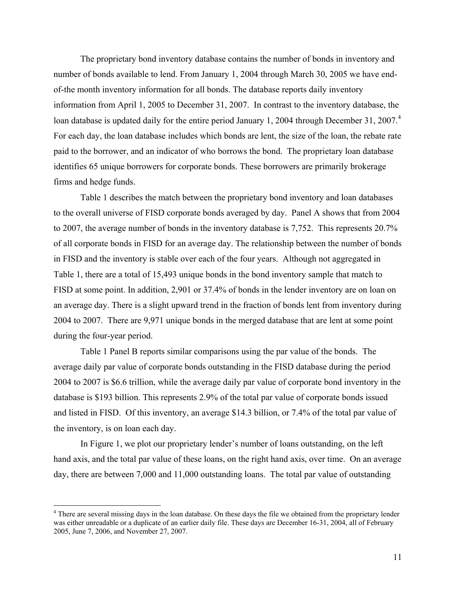The proprietary bond inventory database contains the number of bonds in inventory and number of bonds available to lend. From January 1, 2004 through March 30, 2005 we have endof-the month inventory information for all bonds. The database reports daily inventory information from April 1, 2005 to December 31, 2007. In contrast to the inventory database, the loan database is updated daily for the entire period January 1, 2004 through December 31, 2007.<sup>4</sup> For each day, the loan database includes which bonds are lent, the size of the loan, the rebate rate paid to the borrower, and an indicator of who borrows the bond. The proprietary loan database identifies 65 unique borrowers for corporate bonds. These borrowers are primarily brokerage firms and hedge funds.

Table 1 describes the match between the proprietary bond inventory and loan databases to the overall universe of FISD corporate bonds averaged by day. Panel A shows that from 2004 to 2007, the average number of bonds in the inventory database is 7,752. This represents 20.7% of all corporate bonds in FISD for an average day. The relationship between the number of bonds in FISD and the inventory is stable over each of the four years. Although not aggregated in Table 1, there are a total of 15,493 unique bonds in the bond inventory sample that match to FISD at some point. In addition, 2,901 or 37.4% of bonds in the lender inventory are on loan on an average day. There is a slight upward trend in the fraction of bonds lent from inventory during 2004 to 2007. There are 9,971 unique bonds in the merged database that are lent at some point during the four-year period.

Table 1 Panel B reports similar comparisons using the par value of the bonds. The average daily par value of corporate bonds outstanding in the FISD database during the period 2004 to 2007 is \$6.6 trillion, while the average daily par value of corporate bond inventory in the database is \$193 billion. This represents 2.9% of the total par value of corporate bonds issued and listed in FISD. Of this inventory, an average \$14.3 billion, or 7.4% of the total par value of the inventory, is on loan each day.

In Figure 1, we plot our proprietary lender's number of loans outstanding, on the left hand axis, and the total par value of these loans, on the right hand axis, over time. On an average day, there are between 7,000 and 11,000 outstanding loans. The total par value of outstanding

 $\overline{a}$ 

<sup>&</sup>lt;sup>4</sup> There are several missing days in the loan database. On these days the file we obtained from the proprietary lender was either unreadable or a duplicate of an earlier daily file. These days are December 16-31, 2004, all of February 2005, June 7, 2006, and November 27, 2007.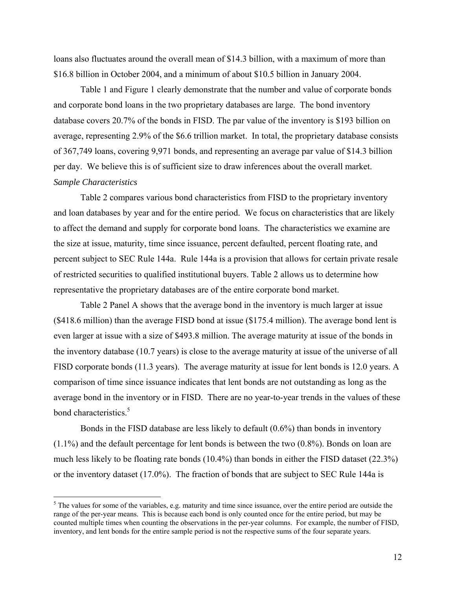loans also fluctuates around the overall mean of \$14.3 billion, with a maximum of more than \$16.8 billion in October 2004, and a minimum of about \$10.5 billion in January 2004.

Table 1 and Figure 1 clearly demonstrate that the number and value of corporate bonds and corporate bond loans in the two proprietary databases are large. The bond inventory database covers 20.7% of the bonds in FISD. The par value of the inventory is \$193 billion on average, representing 2.9% of the \$6.6 trillion market. In total, the proprietary database consists of 367,749 loans, covering 9,971 bonds, and representing an average par value of \$14.3 billion per day. We believe this is of sufficient size to draw inferences about the overall market. *Sample Characteristics* 

Table 2 compares various bond characteristics from FISD to the proprietary inventory and loan databases by year and for the entire period. We focus on characteristics that are likely to affect the demand and supply for corporate bond loans. The characteristics we examine are the size at issue, maturity, time since issuance, percent defaulted, percent floating rate, and percent subject to SEC Rule 144a. Rule 144a is a provision that allows for certain private resale of restricted securities to qualified institutional buyers. Table 2 allows us to determine how representative the proprietary databases are of the entire corporate bond market.

Table 2 Panel A shows that the average bond in the inventory is much larger at issue (\$418.6 million) than the average FISD bond at issue (\$175.4 million). The average bond lent is even larger at issue with a size of \$493.8 million. The average maturity at issue of the bonds in the inventory database (10.7 years) is close to the average maturity at issue of the universe of all FISD corporate bonds (11.3 years). The average maturity at issue for lent bonds is 12.0 years. A comparison of time since issuance indicates that lent bonds are not outstanding as long as the average bond in the inventory or in FISD. There are no year-to-year trends in the values of these bond characteristics.<sup>5</sup>

Bonds in the FISD database are less likely to default (0.6%) than bonds in inventory (1.1%) and the default percentage for lent bonds is between the two (0.8%). Bonds on loan are much less likely to be floating rate bonds (10.4%) than bonds in either the FISD dataset (22.3%) or the inventory dataset (17.0%). The fraction of bonds that are subject to SEC Rule 144a is

 $\overline{a}$ 

 $5$  The values for some of the variables, e.g. maturity and time since issuance, over the entire period are outside the range of the per-year means. This is because each bond is only counted once for the entire period, but may be counted multiple times when counting the observations in the per-year columns. For example, the number of FISD, inventory, and lent bonds for the entire sample period is not the respective sums of the four separate years.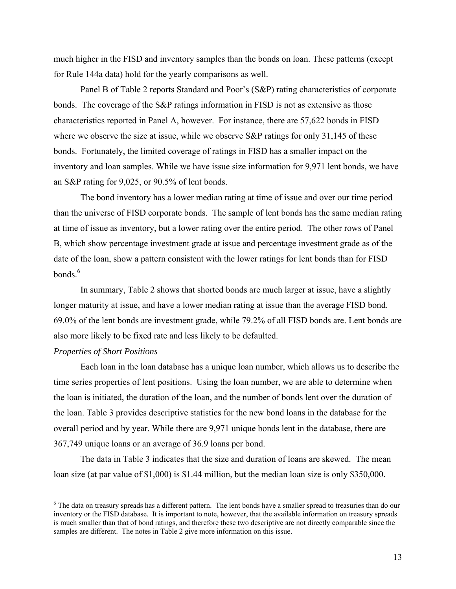much higher in the FISD and inventory samples than the bonds on loan. These patterns (except for Rule 144a data) hold for the yearly comparisons as well.

Panel B of Table 2 reports Standard and Poor's (S&P) rating characteristics of corporate bonds. The coverage of the S&P ratings information in FISD is not as extensive as those characteristics reported in Panel A, however. For instance, there are 57,622 bonds in FISD where we observe the size at issue, while we observe S&P ratings for only 31,145 of these bonds. Fortunately, the limited coverage of ratings in FISD has a smaller impact on the inventory and loan samples. While we have issue size information for 9,971 lent bonds, we have an S&P rating for 9,025, or 90.5% of lent bonds.

The bond inventory has a lower median rating at time of issue and over our time period than the universe of FISD corporate bonds. The sample of lent bonds has the same median rating at time of issue as inventory, but a lower rating over the entire period. The other rows of Panel B, which show percentage investment grade at issue and percentage investment grade as of the date of the loan, show a pattern consistent with the lower ratings for lent bonds than for FISD bonds.<sup>6</sup>

In summary, Table 2 shows that shorted bonds are much larger at issue, have a slightly longer maturity at issue, and have a lower median rating at issue than the average FISD bond. 69.0% of the lent bonds are investment grade, while 79.2% of all FISD bonds are. Lent bonds are also more likely to be fixed rate and less likely to be defaulted.

## *Properties of Short Positions*

<u>.</u>

Each loan in the loan database has a unique loan number, which allows us to describe the time series properties of lent positions. Using the loan number, we are able to determine when the loan is initiated, the duration of the loan, and the number of bonds lent over the duration of the loan. Table 3 provides descriptive statistics for the new bond loans in the database for the overall period and by year. While there are 9,971 unique bonds lent in the database, there are 367,749 unique loans or an average of 36.9 loans per bond.

The data in Table 3 indicates that the size and duration of loans are skewed. The mean loan size (at par value of \$1,000) is \$1.44 million, but the median loan size is only \$350,000.

 $6$  The data on treasury spreads has a different pattern. The lent bonds have a smaller spread to treasuries than do our inventory or the FISD database. It is important to note, however, that the available information on treasury spreads is much smaller than that of bond ratings, and therefore these two descriptive are not directly comparable since the samples are different. The notes in Table 2 give more information on this issue.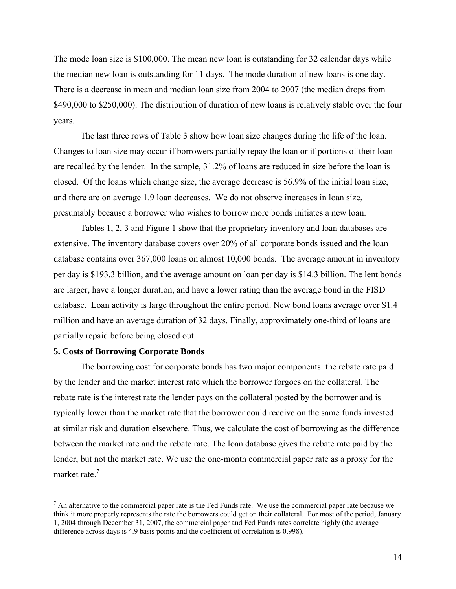The mode loan size is \$100,000. The mean new loan is outstanding for 32 calendar days while the median new loan is outstanding for 11 days. The mode duration of new loans is one day. There is a decrease in mean and median loan size from 2004 to 2007 (the median drops from \$490,000 to \$250,000). The distribution of duration of new loans is relatively stable over the four years.

The last three rows of Table 3 show how loan size changes during the life of the loan. Changes to loan size may occur if borrowers partially repay the loan or if portions of their loan are recalled by the lender. In the sample, 31.2% of loans are reduced in size before the loan is closed. Of the loans which change size, the average decrease is 56.9% of the initial loan size, and there are on average 1.9 loan decreases. We do not observe increases in loan size, presumably because a borrower who wishes to borrow more bonds initiates a new loan.

Tables 1, 2, 3 and Figure 1 show that the proprietary inventory and loan databases are extensive. The inventory database covers over 20% of all corporate bonds issued and the loan database contains over 367,000 loans on almost 10,000 bonds. The average amount in inventory per day is \$193.3 billion, and the average amount on loan per day is \$14.3 billion. The lent bonds are larger, have a longer duration, and have a lower rating than the average bond in the FISD database. Loan activity is large throughout the entire period. New bond loans average over \$1.4 million and have an average duration of 32 days. Finally, approximately one-third of loans are partially repaid before being closed out.

## **5. Costs of Borrowing Corporate Bonds**

 $\overline{a}$ 

The borrowing cost for corporate bonds has two major components: the rebate rate paid by the lender and the market interest rate which the borrower forgoes on the collateral. The rebate rate is the interest rate the lender pays on the collateral posted by the borrower and is typically lower than the market rate that the borrower could receive on the same funds invested at similar risk and duration elsewhere. Thus, we calculate the cost of borrowing as the difference between the market rate and the rebate rate. The loan database gives the rebate rate paid by the lender, but not the market rate. We use the one-month commercial paper rate as a proxy for the market rate.<sup>7</sup>

 $<sup>7</sup>$  An alternative to the commercial paper rate is the Fed Funds rate. We use the commercial paper rate because we</sup> think it more properly represents the rate the borrowers could get on their collateral. For most of the period, January 1, 2004 through December 31, 2007, the commercial paper and Fed Funds rates correlate highly (the average difference across days is 4.9 basis points and the coefficient of correlation is 0.998).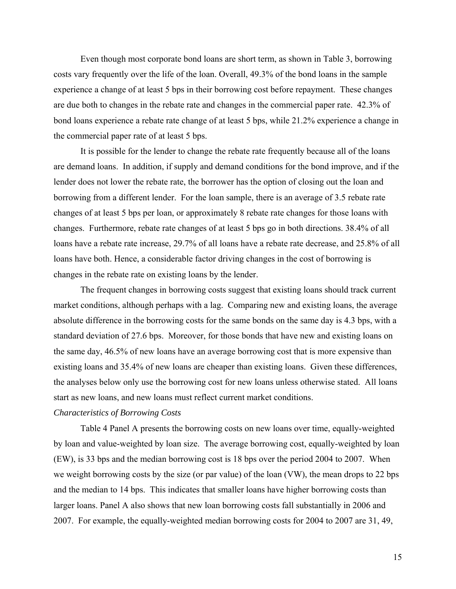Even though most corporate bond loans are short term, as shown in Table 3, borrowing costs vary frequently over the life of the loan. Overall, 49.3% of the bond loans in the sample experience a change of at least 5 bps in their borrowing cost before repayment. These changes are due both to changes in the rebate rate and changes in the commercial paper rate. 42.3% of bond loans experience a rebate rate change of at least 5 bps, while 21.2% experience a change in the commercial paper rate of at least 5 bps.

It is possible for the lender to change the rebate rate frequently because all of the loans are demand loans. In addition, if supply and demand conditions for the bond improve, and if the lender does not lower the rebate rate, the borrower has the option of closing out the loan and borrowing from a different lender. For the loan sample, there is an average of 3.5 rebate rate changes of at least 5 bps per loan, or approximately 8 rebate rate changes for those loans with changes. Furthermore, rebate rate changes of at least 5 bps go in both directions. 38.4% of all loans have a rebate rate increase, 29.7% of all loans have a rebate rate decrease, and 25.8% of all loans have both. Hence, a considerable factor driving changes in the cost of borrowing is changes in the rebate rate on existing loans by the lender.

The frequent changes in borrowing costs suggest that existing loans should track current market conditions, although perhaps with a lag. Comparing new and existing loans, the average absolute difference in the borrowing costs for the same bonds on the same day is 4.3 bps, with a standard deviation of 27.6 bps. Moreover, for those bonds that have new and existing loans on the same day, 46.5% of new loans have an average borrowing cost that is more expensive than existing loans and 35.4% of new loans are cheaper than existing loans. Given these differences, the analyses below only use the borrowing cost for new loans unless otherwise stated. All loans start as new loans, and new loans must reflect current market conditions.

# *Characteristics of Borrowing Costs*

Table 4 Panel A presents the borrowing costs on new loans over time, equally-weighted by loan and value-weighted by loan size. The average borrowing cost, equally-weighted by loan (EW), is 33 bps and the median borrowing cost is 18 bps over the period 2004 to 2007. When we weight borrowing costs by the size (or par value) of the loan (VW), the mean drops to 22 bps and the median to 14 bps. This indicates that smaller loans have higher borrowing costs than larger loans. Panel A also shows that new loan borrowing costs fall substantially in 2006 and 2007. For example, the equally-weighted median borrowing costs for 2004 to 2007 are 31, 49,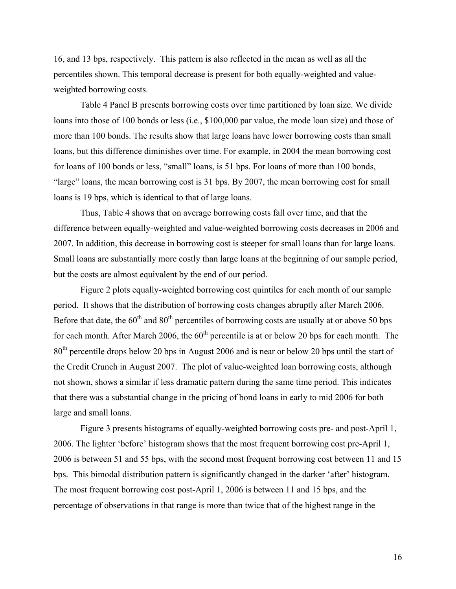16, and 13 bps, respectively. This pattern is also reflected in the mean as well as all the percentiles shown. This temporal decrease is present for both equally-weighted and valueweighted borrowing costs.

Table 4 Panel B presents borrowing costs over time partitioned by loan size. We divide loans into those of 100 bonds or less (i.e., \$100,000 par value, the mode loan size) and those of more than 100 bonds. The results show that large loans have lower borrowing costs than small loans, but this difference diminishes over time. For example, in 2004 the mean borrowing cost for loans of 100 bonds or less, "small" loans, is 51 bps. For loans of more than 100 bonds, "large" loans, the mean borrowing cost is 31 bps. By 2007, the mean borrowing cost for small loans is 19 bps, which is identical to that of large loans.

Thus, Table 4 shows that on average borrowing costs fall over time, and that the difference between equally-weighted and value-weighted borrowing costs decreases in 2006 and 2007. In addition, this decrease in borrowing cost is steeper for small loans than for large loans. Small loans are substantially more costly than large loans at the beginning of our sample period, but the costs are almost equivalent by the end of our period.

Figure 2 plots equally-weighted borrowing cost quintiles for each month of our sample period. It shows that the distribution of borrowing costs changes abruptly after March 2006. Before that date, the  $60<sup>th</sup>$  and  $80<sup>th</sup>$  percentiles of borrowing costs are usually at or above 50 bps for each month. After March 2006, the  $60<sup>th</sup>$  percentile is at or below 20 bps for each month. The 80<sup>th</sup> percentile drops below 20 bps in August 2006 and is near or below 20 bps until the start of the Credit Crunch in August 2007. The plot of value-weighted loan borrowing costs, although not shown, shows a similar if less dramatic pattern during the same time period. This indicates that there was a substantial change in the pricing of bond loans in early to mid 2006 for both large and small loans.

Figure 3 presents histograms of equally-weighted borrowing costs pre- and post-April 1, 2006. The lighter 'before' histogram shows that the most frequent borrowing cost pre-April 1, 2006 is between 51 and 55 bps, with the second most frequent borrowing cost between 11 and 15 bps. This bimodal distribution pattern is significantly changed in the darker 'after' histogram. The most frequent borrowing cost post-April 1, 2006 is between 11 and 15 bps, and the percentage of observations in that range is more than twice that of the highest range in the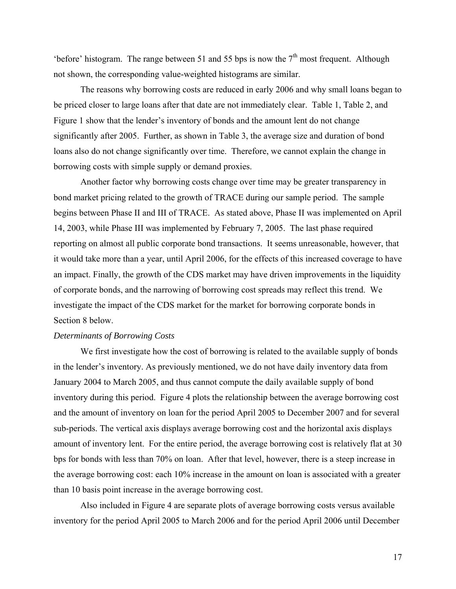'before' histogram. The range between 51 and 55 bps is now the  $7<sup>th</sup>$  most frequent. Although not shown, the corresponding value-weighted histograms are similar.

The reasons why borrowing costs are reduced in early 2006 and why small loans began to be priced closer to large loans after that date are not immediately clear. Table 1, Table 2, and Figure 1 show that the lender's inventory of bonds and the amount lent do not change significantly after 2005. Further, as shown in Table 3, the average size and duration of bond loans also do not change significantly over time. Therefore, we cannot explain the change in borrowing costs with simple supply or demand proxies.

Another factor why borrowing costs change over time may be greater transparency in bond market pricing related to the growth of TRACE during our sample period. The sample begins between Phase II and III of TRACE. As stated above, Phase II was implemented on April 14, 2003, while Phase III was implemented by February 7, 2005. The last phase required reporting on almost all public corporate bond transactions. It seems unreasonable, however, that it would take more than a year, until April 2006, for the effects of this increased coverage to have an impact. Finally, the growth of the CDS market may have driven improvements in the liquidity of corporate bonds, and the narrowing of borrowing cost spreads may reflect this trend. We investigate the impact of the CDS market for the market for borrowing corporate bonds in Section 8 below.

## *Determinants of Borrowing Costs*

We first investigate how the cost of borrowing is related to the available supply of bonds in the lender's inventory. As previously mentioned, we do not have daily inventory data from January 2004 to March 2005, and thus cannot compute the daily available supply of bond inventory during this period. Figure 4 plots the relationship between the average borrowing cost and the amount of inventory on loan for the period April 2005 to December 2007 and for several sub-periods. The vertical axis displays average borrowing cost and the horizontal axis displays amount of inventory lent. For the entire period, the average borrowing cost is relatively flat at 30 bps for bonds with less than 70% on loan. After that level, however, there is a steep increase in the average borrowing cost: each 10% increase in the amount on loan is associated with a greater than 10 basis point increase in the average borrowing cost.

Also included in Figure 4 are separate plots of average borrowing costs versus available inventory for the period April 2005 to March 2006 and for the period April 2006 until December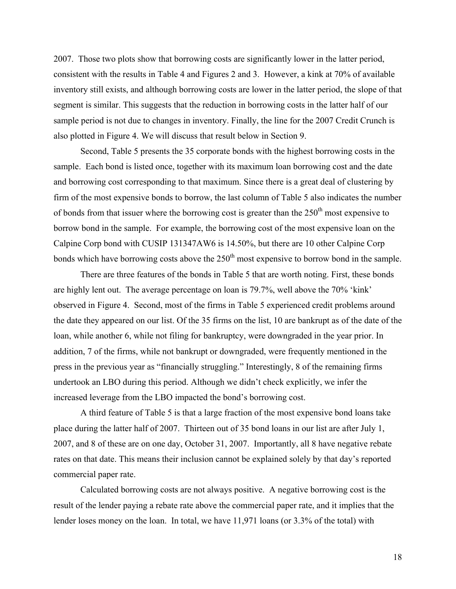2007. Those two plots show that borrowing costs are significantly lower in the latter period, consistent with the results in Table 4 and Figures 2 and 3. However, a kink at 70% of available inventory still exists, and although borrowing costs are lower in the latter period, the slope of that segment is similar. This suggests that the reduction in borrowing costs in the latter half of our sample period is not due to changes in inventory. Finally, the line for the 2007 Credit Crunch is also plotted in Figure 4. We will discuss that result below in Section 9.

Second, Table 5 presents the 35 corporate bonds with the highest borrowing costs in the sample. Each bond is listed once, together with its maximum loan borrowing cost and the date and borrowing cost corresponding to that maximum. Since there is a great deal of clustering by firm of the most expensive bonds to borrow, the last column of Table 5 also indicates the number of bonds from that issuer where the borrowing cost is greater than the  $250<sup>th</sup>$  most expensive to borrow bond in the sample. For example, the borrowing cost of the most expensive loan on the Calpine Corp bond with CUSIP 131347AW6 is 14.50%, but there are 10 other Calpine Corp bonds which have borrowing costs above the  $250<sup>th</sup>$  most expensive to borrow bond in the sample.

There are three features of the bonds in Table 5 that are worth noting. First, these bonds are highly lent out. The average percentage on loan is 79.7%, well above the 70% 'kink' observed in Figure 4. Second, most of the firms in Table 5 experienced credit problems around the date they appeared on our list. Of the 35 firms on the list, 10 are bankrupt as of the date of the loan, while another 6, while not filing for bankruptcy, were downgraded in the year prior. In addition, 7 of the firms, while not bankrupt or downgraded, were frequently mentioned in the press in the previous year as "financially struggling." Interestingly, 8 of the remaining firms undertook an LBO during this period. Although we didn't check explicitly, we infer the increased leverage from the LBO impacted the bond's borrowing cost.

A third feature of Table 5 is that a large fraction of the most expensive bond loans take place during the latter half of 2007. Thirteen out of 35 bond loans in our list are after July 1, 2007, and 8 of these are on one day, October 31, 2007. Importantly, all 8 have negative rebate rates on that date. This means their inclusion cannot be explained solely by that day's reported commercial paper rate.

Calculated borrowing costs are not always positive. A negative borrowing cost is the result of the lender paying a rebate rate above the commercial paper rate, and it implies that the lender loses money on the loan. In total, we have 11,971 loans (or 3.3% of the total) with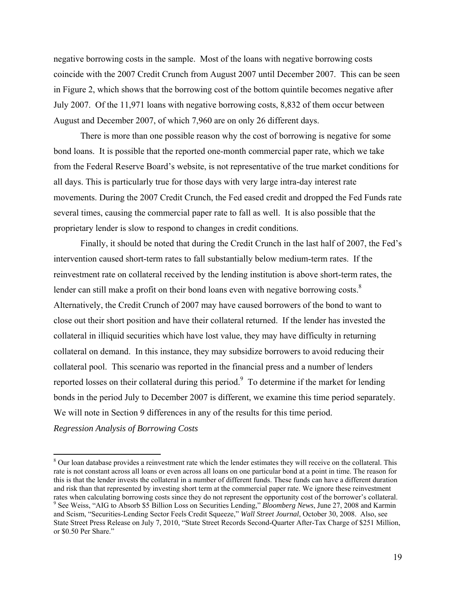negative borrowing costs in the sample. Most of the loans with negative borrowing costs coincide with the 2007 Credit Crunch from August 2007 until December 2007. This can be seen in Figure 2, which shows that the borrowing cost of the bottom quintile becomes negative after July 2007. Of the 11,971 loans with negative borrowing costs, 8,832 of them occur between August and December 2007, of which 7,960 are on only 26 different days.

There is more than one possible reason why the cost of borrowing is negative for some bond loans. It is possible that the reported one-month commercial paper rate, which we take from the Federal Reserve Board's website, is not representative of the true market conditions for all days. This is particularly true for those days with very large intra-day interest rate movements. During the 2007 Credit Crunch, the Fed eased credit and dropped the Fed Funds rate several times, causing the commercial paper rate to fall as well. It is also possible that the proprietary lender is slow to respond to changes in credit conditions.

Finally, it should be noted that during the Credit Crunch in the last half of 2007, the Fed's intervention caused short-term rates to fall substantially below medium-term rates. If the reinvestment rate on collateral received by the lending institution is above short-term rates, the lender can still make a profit on their bond loans even with negative borrowing costs. $8$ Alternatively, the Credit Crunch of 2007 may have caused borrowers of the bond to want to close out their short position and have their collateral returned. If the lender has invested the collateral in illiquid securities which have lost value, they may have difficulty in returning collateral on demand. In this instance, they may subsidize borrowers to avoid reducing their collateral pool. This scenario was reported in the financial press and a number of lenders reported losses on their collateral during this period.<sup>9</sup> To determine if the market for lending bonds in the period July to December 2007 is different, we examine this time period separately. We will note in Section 9 differences in any of the results for this time period.

*Regression Analysis of Borrowing Costs* 

 $\overline{a}$ 

<sup>&</sup>lt;sup>8</sup> Our loan database provides a reinvestment rate which the lender estimates they will receive on the collateral. This rate is not constant across all loans or even across all loans on one particular bond at a point in time. The reason for this is that the lender invests the collateral in a number of different funds. These funds can have a different duration and risk than that represented by investing short term at the commercial paper rate. We ignore these reinvestment rates when calculating borrowing costs since they do not represent the opportunity cost of the borrower's collateral. 9 <sup>9</sup> See Weiss, "AIG to Absorb \$5 Billion Loss on Securities Lending," *Bloomberg News*, June 27, 2008 and Karmin and Scism, "Securities-Lending Sector Feels Credit Squeeze," *Wall Street Journal*, October 30, 2008. Also, see State Street Press Release on July 7, 2010, "State Street Records Second-Quarter After-Tax Charge of \$251 Million,

or \$0.50 Per Share."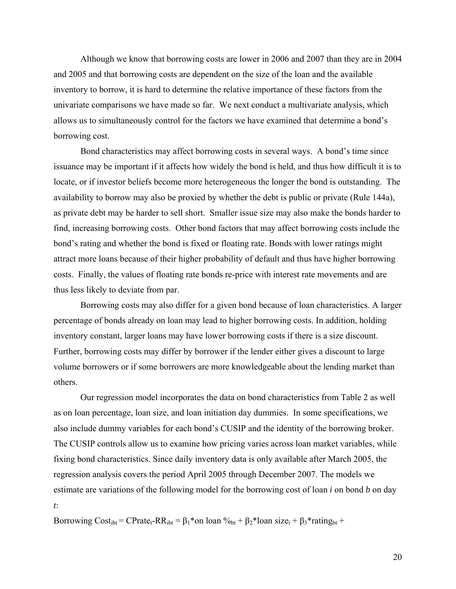Although we know that borrowing costs are lower in 2006 and 2007 than they are in 2004 and 2005 and that borrowing costs are dependent on the size of the loan and the available inventory to borrow, it is hard to determine the relative importance of these factors from the univariate comparisons we have made so far. We next conduct a multivariate analysis, which allows us to simultaneously control for the factors we have examined that determine a bond's borrowing cost.

Bond characteristics may affect borrowing costs in several ways. A bond's time since issuance may be important if it affects how widely the bond is held, and thus how difficult it is to locate, or if investor beliefs become more heterogeneous the longer the bond is outstanding. The availability to borrow may also be proxied by whether the debt is public or private (Rule 144a), as private debt may be harder to sell short. Smaller issue size may also make the bonds harder to find, increasing borrowing costs. Other bond factors that may affect borrowing costs include the bond's rating and whether the bond is fixed or floating rate. Bonds with lower ratings might attract more loans because of their higher probability of default and thus have higher borrowing costs. Finally, the values of floating rate bonds re-price with interest rate movements and are thus less likely to deviate from par.

Borrowing costs may also differ for a given bond because of loan characteristics. A larger percentage of bonds already on loan may lead to higher borrowing costs. In addition, holding inventory constant, larger loans may have lower borrowing costs if there is a size discount. Further, borrowing costs may differ by borrower if the lender either gives a discount to large volume borrowers or if some borrowers are more knowledgeable about the lending market than others.

Our regression model incorporates the data on bond characteristics from Table 2 as well as on loan percentage, loan size, and loan initiation day dummies. In some specifications, we also include dummy variables for each bond's CUSIP and the identity of the borrowing broker. The CUSIP controls allow us to examine how pricing varies across loan market variables, while fixing bond characteristics. Since daily inventory data is only available after March 2005, the regression analysis covers the period April 2005 through December 2007. The models we estimate are variations of the following model for the borrowing cost of loan *i* on bond *b* on day *t*:

Borrowing Cost<sub>ibt</sub> = CPrate<sub>t</sub>-RR<sub>ibt</sub> =  $\beta_1$ \*on loan  $\%_{bt} + \beta_2$ \*loan size<sub>i</sub> +  $\beta_3$ \*rating<sub>bt</sub> +

20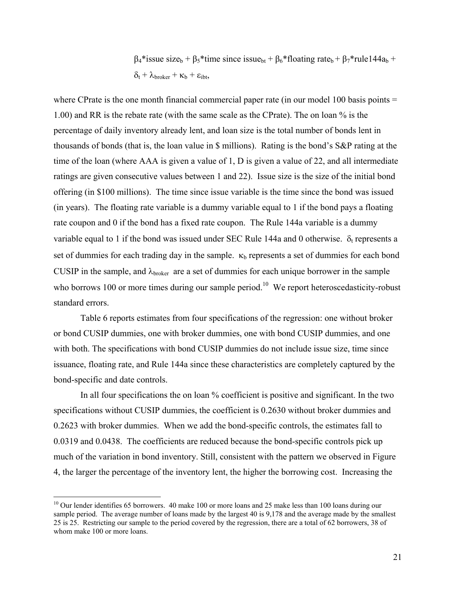$β<sub>4</sub>*$  issue size<sub>b</sub> + β<sub>5</sub>\* time since issue<sub>bt</sub> + β<sub>6</sub>\* floating rate<sub>b</sub> + β<sub>7</sub>\* rule 144a<sub>b</sub> +  $\delta_t$  +  $\lambda_{\text{broken}}$  +  $\kappa_b$  +  $\varepsilon_{\text{ibt}}$ ,

where CPrate is the one month financial commercial paper rate (in our model 100 basis points  $=$ 1.00) and RR is the rebate rate (with the same scale as the CPrate). The on loan % is the percentage of daily inventory already lent, and loan size is the total number of bonds lent in thousands of bonds (that is, the loan value in \$ millions). Rating is the bond's S&P rating at the time of the loan (where AAA is given a value of 1, D is given a value of 22, and all intermediate ratings are given consecutive values between 1 and 22). Issue size is the size of the initial bond offering (in \$100 millions). The time since issue variable is the time since the bond was issued (in years). The floating rate variable is a dummy variable equal to 1 if the bond pays a floating rate coupon and 0 if the bond has a fixed rate coupon. The Rule 144a variable is a dummy variable equal to 1 if the bond was issued under SEC Rule 144a and 0 otherwise.  $\delta_t$  represents a set of dummies for each trading day in the sample.  $\kappa_b$  represents a set of dummies for each bond CUSIP in the sample, and  $\lambda_{\text{broken}}$  are a set of dummies for each unique borrower in the sample who borrows 100 or more times during our sample period.<sup>10</sup> We report heteroscedasticity-robust standard errors.

Table 6 reports estimates from four specifications of the regression: one without broker or bond CUSIP dummies, one with broker dummies, one with bond CUSIP dummies, and one with both. The specifications with bond CUSIP dummies do not include issue size, time since issuance, floating rate, and Rule 144a since these characteristics are completely captured by the bond-specific and date controls.

In all four specifications the on loan % coefficient is positive and significant. In the two specifications without CUSIP dummies, the coefficient is 0.2630 without broker dummies and 0.2623 with broker dummies. When we add the bond-specific controls, the estimates fall to 0.0319 and 0.0438. The coefficients are reduced because the bond-specific controls pick up much of the variation in bond inventory. Still, consistent with the pattern we observed in Figure 4, the larger the percentage of the inventory lent, the higher the borrowing cost. Increasing the

 $\overline{a}$ 

<sup>&</sup>lt;sup>10</sup> Our lender identifies 65 borrowers. 40 make 100 or more loans and 25 make less than 100 loans during our sample period. The average number of loans made by the largest 40 is 9,178 and the average made by the smallest 25 is 25. Restricting our sample to the period covered by the regression, there are a total of 62 borrowers, 38 of whom make 100 or more loans.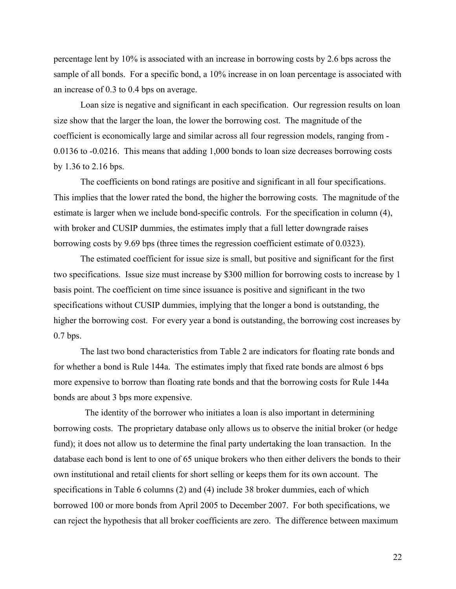percentage lent by 10% is associated with an increase in borrowing costs by 2.6 bps across the sample of all bonds. For a specific bond, a 10% increase in on loan percentage is associated with an increase of 0.3 to 0.4 bps on average.

Loan size is negative and significant in each specification. Our regression results on loan size show that the larger the loan, the lower the borrowing cost. The magnitude of the coefficient is economically large and similar across all four regression models, ranging from - 0.0136 to -0.0216. This means that adding 1,000 bonds to loan size decreases borrowing costs by 1.36 to 2.16 bps.

The coefficients on bond ratings are positive and significant in all four specifications. This implies that the lower rated the bond, the higher the borrowing costs. The magnitude of the estimate is larger when we include bond-specific controls. For the specification in column (4), with broker and CUSIP dummies, the estimates imply that a full letter downgrade raises borrowing costs by 9.69 bps (three times the regression coefficient estimate of 0.0323).

The estimated coefficient for issue size is small, but positive and significant for the first two specifications. Issue size must increase by \$300 million for borrowing costs to increase by 1 basis point. The coefficient on time since issuance is positive and significant in the two specifications without CUSIP dummies, implying that the longer a bond is outstanding, the higher the borrowing cost. For every year a bond is outstanding, the borrowing cost increases by 0.7 bps.

The last two bond characteristics from Table 2 are indicators for floating rate bonds and for whether a bond is Rule 144a. The estimates imply that fixed rate bonds are almost 6 bps more expensive to borrow than floating rate bonds and that the borrowing costs for Rule 144a bonds are about 3 bps more expensive.

 The identity of the borrower who initiates a loan is also important in determining borrowing costs. The proprietary database only allows us to observe the initial broker (or hedge fund); it does not allow us to determine the final party undertaking the loan transaction. In the database each bond is lent to one of 65 unique brokers who then either delivers the bonds to their own institutional and retail clients for short selling or keeps them for its own account. The specifications in Table 6 columns (2) and (4) include 38 broker dummies, each of which borrowed 100 or more bonds from April 2005 to December 2007. For both specifications, we can reject the hypothesis that all broker coefficients are zero. The difference between maximum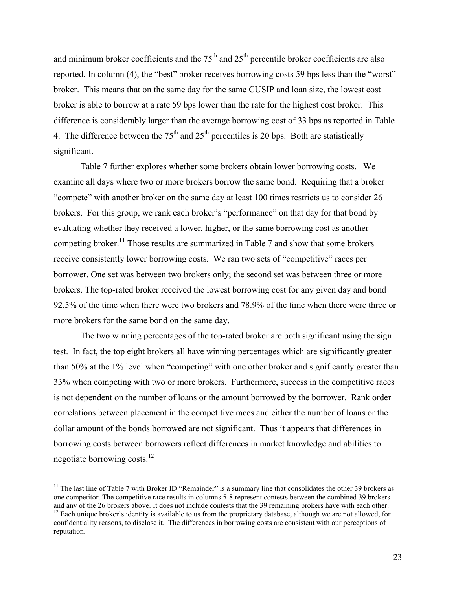and minimum broker coefficients and the  $75<sup>th</sup>$  and  $25<sup>th</sup>$  percentile broker coefficients are also reported. In column (4), the "best" broker receives borrowing costs 59 bps less than the "worst" broker. This means that on the same day for the same CUSIP and loan size, the lowest cost broker is able to borrow at a rate 59 bps lower than the rate for the highest cost broker. This difference is considerably larger than the average borrowing cost of 33 bps as reported in Table 4. The difference between the  $75<sup>th</sup>$  and  $25<sup>th</sup>$  percentiles is 20 bps. Both are statistically significant.

Table 7 further explores whether some brokers obtain lower borrowing costs. We examine all days where two or more brokers borrow the same bond. Requiring that a broker "compete" with another broker on the same day at least 100 times restricts us to consider 26 brokers. For this group, we rank each broker's "performance" on that day for that bond by evaluating whether they received a lower, higher, or the same borrowing cost as another competing broker.<sup>11</sup> Those results are summarized in Table 7 and show that some brokers receive consistently lower borrowing costs. We ran two sets of "competitive" races per borrower. One set was between two brokers only; the second set was between three or more brokers. The top-rated broker received the lowest borrowing cost for any given day and bond 92.5% of the time when there were two brokers and 78.9% of the time when there were three or more brokers for the same bond on the same day.

The two winning percentages of the top-rated broker are both significant using the sign test. In fact, the top eight brokers all have winning percentages which are significantly greater than 50% at the 1% level when "competing" with one other broker and significantly greater than 33% when competing with two or more brokers. Furthermore, success in the competitive races is not dependent on the number of loans or the amount borrowed by the borrower. Rank order correlations between placement in the competitive races and either the number of loans or the dollar amount of the bonds borrowed are not significant. Thus it appears that differences in borrowing costs between borrowers reflect differences in market knowledge and abilities to negotiate borrowing costs.12

 $\overline{a}$ 

 $11$  The last line of Table 7 with Broker ID "Remainder" is a summary line that consolidates the other 39 brokers as one competitor. The competitive race results in columns 5-8 represent contests between the combined 39 brokers and any of the 26 brokers above. It does not include contests that the 39 remaining brokers have with each other.  $12$  Each unique broker's identity is available to us from the proprietary database, although we are not allowed, for

confidentiality reasons, to disclose it. The differences in borrowing costs are consistent with our perceptions of reputation.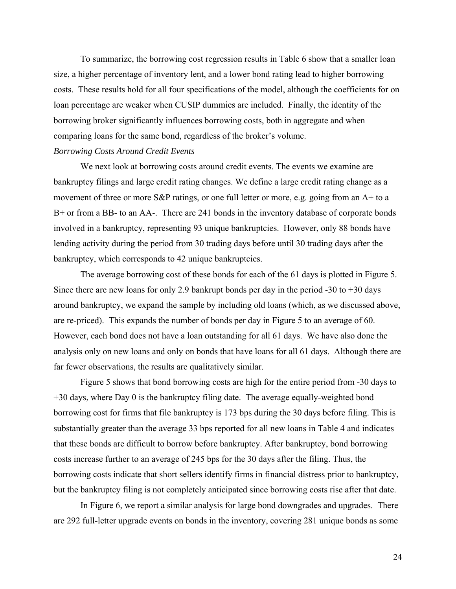To summarize, the borrowing cost regression results in Table 6 show that a smaller loan size, a higher percentage of inventory lent, and a lower bond rating lead to higher borrowing costs. These results hold for all four specifications of the model, although the coefficients for on loan percentage are weaker when CUSIP dummies are included. Finally, the identity of the borrowing broker significantly influences borrowing costs, both in aggregate and when comparing loans for the same bond, regardless of the broker's volume.

## *Borrowing Costs Around Credit Events*

We next look at borrowing costs around credit events. The events we examine are bankruptcy filings and large credit rating changes. We define a large credit rating change as a movement of three or more S&P ratings, or one full letter or more, e.g. going from an A+ to a B+ or from a BB- to an AA-. There are 241 bonds in the inventory database of corporate bonds involved in a bankruptcy, representing 93 unique bankruptcies. However, only 88 bonds have lending activity during the period from 30 trading days before until 30 trading days after the bankruptcy, which corresponds to 42 unique bankruptcies.

The average borrowing cost of these bonds for each of the 61 days is plotted in Figure 5. Since there are new loans for only 2.9 bankrupt bonds per day in the period -30 to +30 days around bankruptcy, we expand the sample by including old loans (which, as we discussed above, are re-priced). This expands the number of bonds per day in Figure 5 to an average of 60. However, each bond does not have a loan outstanding for all 61 days. We have also done the analysis only on new loans and only on bonds that have loans for all 61 days. Although there are far fewer observations, the results are qualitatively similar.

Figure 5 shows that bond borrowing costs are high for the entire period from -30 days to +30 days, where Day 0 is the bankruptcy filing date. The average equally-weighted bond borrowing cost for firms that file bankruptcy is 173 bps during the 30 days before filing. This is substantially greater than the average 33 bps reported for all new loans in Table 4 and indicates that these bonds are difficult to borrow before bankruptcy. After bankruptcy, bond borrowing costs increase further to an average of 245 bps for the 30 days after the filing. Thus, the borrowing costs indicate that short sellers identify firms in financial distress prior to bankruptcy, but the bankruptcy filing is not completely anticipated since borrowing costs rise after that date.

In Figure 6, we report a similar analysis for large bond downgrades and upgrades. There are 292 full-letter upgrade events on bonds in the inventory, covering 281 unique bonds as some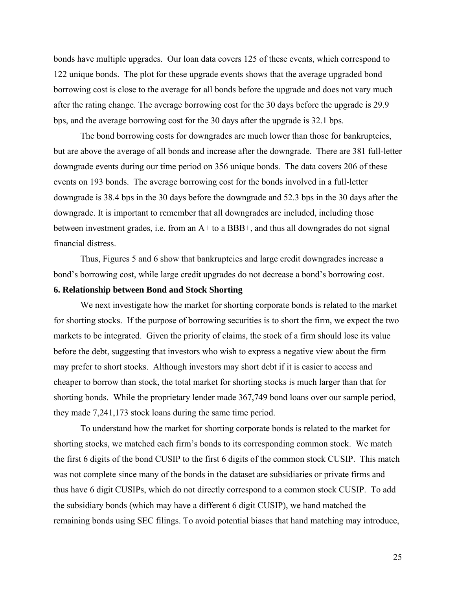bonds have multiple upgrades. Our loan data covers 125 of these events, which correspond to 122 unique bonds. The plot for these upgrade events shows that the average upgraded bond borrowing cost is close to the average for all bonds before the upgrade and does not vary much after the rating change. The average borrowing cost for the 30 days before the upgrade is 29.9 bps, and the average borrowing cost for the 30 days after the upgrade is 32.1 bps.

The bond borrowing costs for downgrades are much lower than those for bankruptcies, but are above the average of all bonds and increase after the downgrade. There are 381 full-letter downgrade events during our time period on 356 unique bonds. The data covers 206 of these events on 193 bonds. The average borrowing cost for the bonds involved in a full-letter downgrade is 38.4 bps in the 30 days before the downgrade and 52.3 bps in the 30 days after the downgrade. It is important to remember that all downgrades are included, including those between investment grades, i.e. from an A+ to a BBB+, and thus all downgrades do not signal financial distress.

 Thus, Figures 5 and 6 show that bankruptcies and large credit downgrades increase a bond's borrowing cost, while large credit upgrades do not decrease a bond's borrowing cost.

## **6. Relationship between Bond and Stock Shorting**

We next investigate how the market for shorting corporate bonds is related to the market for shorting stocks. If the purpose of borrowing securities is to short the firm, we expect the two markets to be integrated. Given the priority of claims, the stock of a firm should lose its value before the debt, suggesting that investors who wish to express a negative view about the firm may prefer to short stocks. Although investors may short debt if it is easier to access and cheaper to borrow than stock, the total market for shorting stocks is much larger than that for shorting bonds. While the proprietary lender made 367,749 bond loans over our sample period, they made 7,241,173 stock loans during the same time period.

To understand how the market for shorting corporate bonds is related to the market for shorting stocks, we matched each firm's bonds to its corresponding common stock. We match the first 6 digits of the bond CUSIP to the first 6 digits of the common stock CUSIP. This match was not complete since many of the bonds in the dataset are subsidiaries or private firms and thus have 6 digit CUSIPs, which do not directly correspond to a common stock CUSIP. To add the subsidiary bonds (which may have a different 6 digit CUSIP), we hand matched the remaining bonds using SEC filings. To avoid potential biases that hand matching may introduce,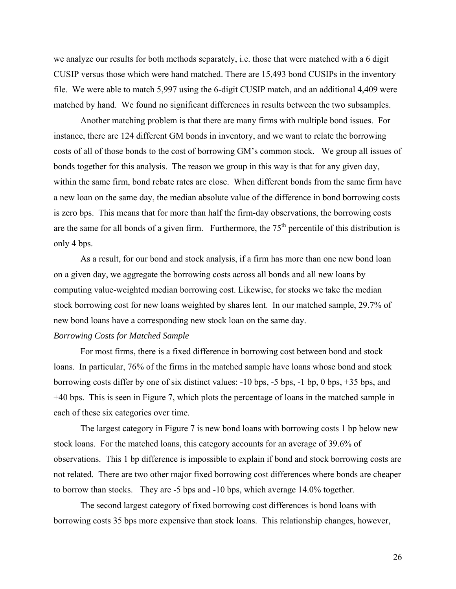we analyze our results for both methods separately, i.e. those that were matched with a 6 digit CUSIP versus those which were hand matched. There are 15,493 bond CUSIPs in the inventory file. We were able to match 5,997 using the 6-digit CUSIP match, and an additional 4,409 were matched by hand. We found no significant differences in results between the two subsamples.

 Another matching problem is that there are many firms with multiple bond issues. For instance, there are 124 different GM bonds in inventory, and we want to relate the borrowing costs of all of those bonds to the cost of borrowing GM's common stock. We group all issues of bonds together for this analysis. The reason we group in this way is that for any given day, within the same firm, bond rebate rates are close. When different bonds from the same firm have a new loan on the same day, the median absolute value of the difference in bond borrowing costs is zero bps. This means that for more than half the firm-day observations, the borrowing costs are the same for all bonds of a given firm. Furthermore, the  $75<sup>th</sup>$  percentile of this distribution is only 4 bps.

As a result, for our bond and stock analysis, if a firm has more than one new bond loan on a given day, we aggregate the borrowing costs across all bonds and all new loans by computing value-weighted median borrowing cost. Likewise, for stocks we take the median stock borrowing cost for new loans weighted by shares lent. In our matched sample, 29.7% of new bond loans have a corresponding new stock loan on the same day.

## *Borrowing Costs for Matched Sample*

For most firms, there is a fixed difference in borrowing cost between bond and stock loans. In particular, 76% of the firms in the matched sample have loans whose bond and stock borrowing costs differ by one of six distinct values: -10 bps, -5 bps, -1 bp, 0 bps, +35 bps, and +40 bps. This is seen in Figure 7, which plots the percentage of loans in the matched sample in each of these six categories over time.

The largest category in Figure 7 is new bond loans with borrowing costs 1 bp below new stock loans. For the matched loans, this category accounts for an average of 39.6% of observations. This 1 bp difference is impossible to explain if bond and stock borrowing costs are not related. There are two other major fixed borrowing cost differences where bonds are cheaper to borrow than stocks. They are -5 bps and -10 bps, which average 14.0% together.

The second largest category of fixed borrowing cost differences is bond loans with borrowing costs 35 bps more expensive than stock loans. This relationship changes, however,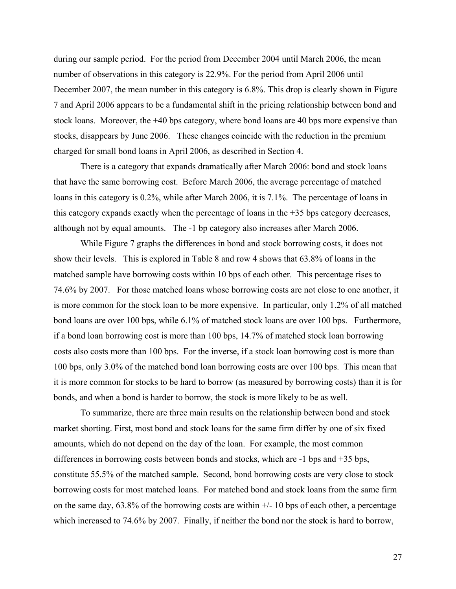during our sample period. For the period from December 2004 until March 2006, the mean number of observations in this category is 22.9%. For the period from April 2006 until December 2007, the mean number in this category is 6.8%. This drop is clearly shown in Figure 7 and April 2006 appears to be a fundamental shift in the pricing relationship between bond and stock loans. Moreover, the +40 bps category, where bond loans are 40 bps more expensive than stocks, disappears by June 2006. These changes coincide with the reduction in the premium charged for small bond loans in April 2006, as described in Section 4.

There is a category that expands dramatically after March 2006: bond and stock loans that have the same borrowing cost. Before March 2006, the average percentage of matched loans in this category is 0.2%, while after March 2006, it is 7.1%. The percentage of loans in this category expands exactly when the percentage of loans in the +35 bps category decreases, although not by equal amounts. The -1 bp category also increases after March 2006.

While Figure 7 graphs the differences in bond and stock borrowing costs, it does not show their levels. This is explored in Table 8 and row 4 shows that 63.8% of loans in the matched sample have borrowing costs within 10 bps of each other. This percentage rises to 74.6% by 2007. For those matched loans whose borrowing costs are not close to one another, it is more common for the stock loan to be more expensive. In particular, only 1.2% of all matched bond loans are over 100 bps, while 6.1% of matched stock loans are over 100 bps. Furthermore, if a bond loan borrowing cost is more than 100 bps, 14.7% of matched stock loan borrowing costs also costs more than 100 bps. For the inverse, if a stock loan borrowing cost is more than 100 bps, only 3.0% of the matched bond loan borrowing costs are over 100 bps. This mean that it is more common for stocks to be hard to borrow (as measured by borrowing costs) than it is for bonds, and when a bond is harder to borrow, the stock is more likely to be as well.

To summarize, there are three main results on the relationship between bond and stock market shorting. First, most bond and stock loans for the same firm differ by one of six fixed amounts, which do not depend on the day of the loan. For example, the most common differences in borrowing costs between bonds and stocks, which are -1 bps and +35 bps, constitute 55.5% of the matched sample. Second, bond borrowing costs are very close to stock borrowing costs for most matched loans. For matched bond and stock loans from the same firm on the same day,  $63.8\%$  of the borrowing costs are within  $+/-10$  bps of each other, a percentage which increased to 74.6% by 2007. Finally, if neither the bond nor the stock is hard to borrow,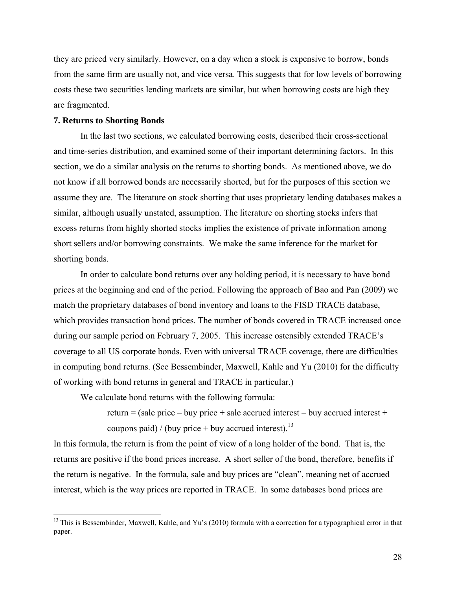they are priced very similarly. However, on a day when a stock is expensive to borrow, bonds from the same firm are usually not, and vice versa. This suggests that for low levels of borrowing costs these two securities lending markets are similar, but when borrowing costs are high they are fragmented.

## **7. Returns to Shorting Bonds**

 $\overline{a}$ 

In the last two sections, we calculated borrowing costs, described their cross-sectional and time-series distribution, and examined some of their important determining factors. In this section, we do a similar analysis on the returns to shorting bonds. As mentioned above, we do not know if all borrowed bonds are necessarily shorted, but for the purposes of this section we assume they are. The literature on stock shorting that uses proprietary lending databases makes a similar, although usually unstated, assumption. The literature on shorting stocks infers that excess returns from highly shorted stocks implies the existence of private information among short sellers and/or borrowing constraints. We make the same inference for the market for shorting bonds.

In order to calculate bond returns over any holding period, it is necessary to have bond prices at the beginning and end of the period. Following the approach of Bao and Pan (2009) we match the proprietary databases of bond inventory and loans to the FISD TRACE database, which provides transaction bond prices. The number of bonds covered in TRACE increased once during our sample period on February 7, 2005. This increase ostensibly extended TRACE's coverage to all US corporate bonds. Even with universal TRACE coverage, there are difficulties in computing bond returns. (See Bessembinder, Maxwell, Kahle and Yu (2010) for the difficulty of working with bond returns in general and TRACE in particular.)

We calculate bond returns with the following formula:

return = (sale price – buy price + sale accrued interest – buy accrued interest + coupons paid) / (buy price + buy accrued interest).<sup>13</sup>

In this formula, the return is from the point of view of a long holder of the bond. That is, the returns are positive if the bond prices increase. A short seller of the bond, therefore, benefits if the return is negative. In the formula, sale and buy prices are "clean", meaning net of accrued interest, which is the way prices are reported in TRACE. In some databases bond prices are

<sup>&</sup>lt;sup>13</sup> This is Bessembinder, Maxwell, Kahle, and Yu's (2010) formula with a correction for a typographical error in that paper.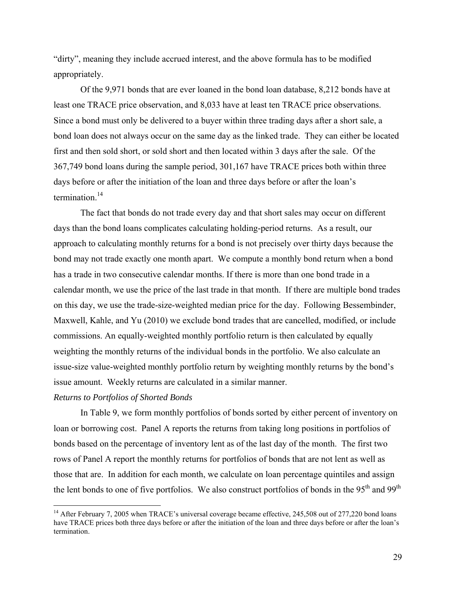"dirty", meaning they include accrued interest, and the above formula has to be modified appropriately.

Of the 9,971 bonds that are ever loaned in the bond loan database, 8,212 bonds have at least one TRACE price observation, and 8,033 have at least ten TRACE price observations. Since a bond must only be delivered to a buyer within three trading days after a short sale, a bond loan does not always occur on the same day as the linked trade. They can either be located first and then sold short, or sold short and then located within 3 days after the sale. Of the 367,749 bond loans during the sample period, 301,167 have TRACE prices both within three days before or after the initiation of the loan and three days before or after the loan's termination.<sup>14</sup>

The fact that bonds do not trade every day and that short sales may occur on different days than the bond loans complicates calculating holding-period returns. As a result, our approach to calculating monthly returns for a bond is not precisely over thirty days because the bond may not trade exactly one month apart. We compute a monthly bond return when a bond has a trade in two consecutive calendar months. If there is more than one bond trade in a calendar month, we use the price of the last trade in that month. If there are multiple bond trades on this day, we use the trade-size-weighted median price for the day. Following Bessembinder, Maxwell, Kahle, and Yu (2010) we exclude bond trades that are cancelled, modified, or include commissions. An equally-weighted monthly portfolio return is then calculated by equally weighting the monthly returns of the individual bonds in the portfolio. We also calculate an issue-size value-weighted monthly portfolio return by weighting monthly returns by the bond's issue amount. Weekly returns are calculated in a similar manner.

## *Returns to Portfolios of Shorted Bonds*

1

In Table 9, we form monthly portfolios of bonds sorted by either percent of inventory on loan or borrowing cost. Panel A reports the returns from taking long positions in portfolios of bonds based on the percentage of inventory lent as of the last day of the month. The first two rows of Panel A report the monthly returns for portfolios of bonds that are not lent as well as those that are. In addition for each month, we calculate on loan percentage quintiles and assign the lent bonds to one of five portfolios. We also construct portfolios of bonds in the 95<sup>th</sup> and 99<sup>th</sup>

<sup>&</sup>lt;sup>14</sup> After February 7, 2005 when TRACE's universal coverage became effective, 245,508 out of 277,220 bond loans have TRACE prices both three days before or after the initiation of the loan and three days before or after the loan's termination.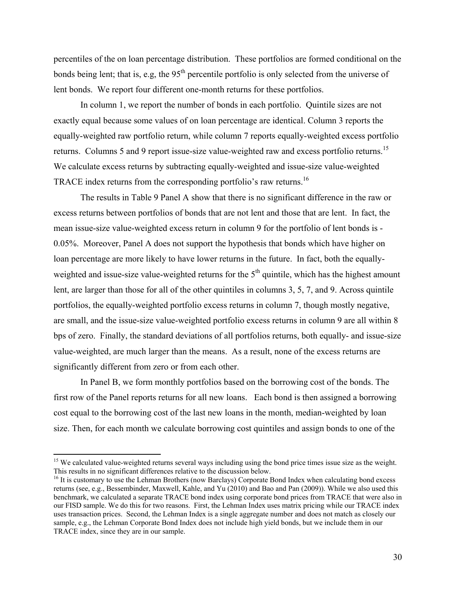percentiles of the on loan percentage distribution. These portfolios are formed conditional on the bonds being lent; that is, e.g, the  $95<sup>th</sup>$  percentile portfolio is only selected from the universe of lent bonds. We report four different one-month returns for these portfolios.

In column 1, we report the number of bonds in each portfolio. Quintile sizes are not exactly equal because some values of on loan percentage are identical. Column 3 reports the equally-weighted raw portfolio return, while column 7 reports equally-weighted excess portfolio returns. Columns 5 and 9 report issue-size value-weighted raw and excess portfolio returns.<sup>15</sup> We calculate excess returns by subtracting equally-weighted and issue-size value-weighted TRACE index returns from the corresponding portfolio's raw returns.16

The results in Table 9 Panel A show that there is no significant difference in the raw or excess returns between portfolios of bonds that are not lent and those that are lent. In fact, the mean issue-size value-weighted excess return in column 9 for the portfolio of lent bonds is - 0.05%. Moreover, Panel A does not support the hypothesis that bonds which have higher on loan percentage are more likely to have lower returns in the future. In fact, both the equallyweighted and issue-size value-weighted returns for the  $5<sup>th</sup>$  quintile, which has the highest amount lent, are larger than those for all of the other quintiles in columns 3, 5, 7, and 9. Across quintile portfolios, the equally-weighted portfolio excess returns in column 7, though mostly negative, are small, and the issue-size value-weighted portfolio excess returns in column 9 are all within 8 bps of zero. Finally, the standard deviations of all portfolios returns, both equally- and issue-size value-weighted, are much larger than the means. As a result, none of the excess returns are significantly different from zero or from each other.

In Panel B, we form monthly portfolios based on the borrowing cost of the bonds. The first row of the Panel reports returns for all new loans. Each bond is then assigned a borrowing cost equal to the borrowing cost of the last new loans in the month, median-weighted by loan size. Then, for each month we calculate borrowing cost quintiles and assign bonds to one of the

 $\overline{a}$ 

<sup>&</sup>lt;sup>15</sup> We calculated value-weighted returns several ways including using the bond price times issue size as the weight. This results in no significant differences relative to the discussion below.

<sup>&</sup>lt;sup>16</sup> It is customary to use the Lehman Brothers (now Barclays) Corporate Bond Index when calculating bond excess returns (see, e.g., Bessembinder, Maxwell, Kahle, and Yu (2010) and Bao and Pan (2009)). While we also used this benchmark, we calculated a separate TRACE bond index using corporate bond prices from TRACE that were also in our FISD sample. We do this for two reasons. First, the Lehman Index uses matrix pricing while our TRACE index uses transaction prices. Second, the Lehman Index is a single aggregate number and does not match as closely our sample, e.g., the Lehman Corporate Bond Index does not include high yield bonds, but we include them in our TRACE index, since they are in our sample.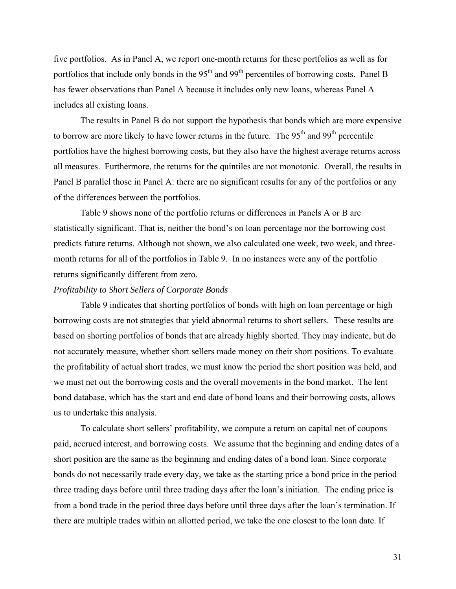five portfolios. As in Panel A, we report one-month returns for these portfolios as well as for portfolios that include only bonds in the  $95<sup>th</sup>$  and  $99<sup>th</sup>$  percentiles of borrowing costs. Panel B has fewer observations than Panel A because it includes only new loans, whereas Panel A includes all existing loans.

The results in Panel B do not support the hypothesis that bonds which are more expensive to borrow are more likely to have lower returns in the future. The  $95<sup>th</sup>$  and  $99<sup>th</sup>$  percentile portfolios have the highest borrowing costs, but they also have the highest average returns across all measures. Furthermore, the returns for the quintiles are not monotonic. Overall, the results in Panel B parallel those in Panel A: there are no significant results for any of the portfolios or any of the differences between the portfolios.

Table 9 shows none of the portfolio returns or differences in Panels A or B are statistically significant. That is, neither the bond's on loan percentage nor the borrowing cost predicts future returns. Although not shown, we also calculated one week, two week, and threemonth returns for all of the portfolios in Table 9. In no instances were any of the portfolio returns significantly different from zero.

## *Profitability to Short Sellers of Corporate Bonds*

Table 9 indicates that shorting portfolios of bonds with high on loan percentage or high borrowing costs are not strategies that yield abnormal returns to short sellers. These results are based on shorting portfolios of bonds that are already highly shorted. They may indicate, but do not accurately measure, whether short sellers made money on their short positions. To evaluate the profitability of actual short trades, we must know the period the short position was held, and we must net out the borrowing costs and the overall movements in the bond market. The lent bond database, which has the start and end date of bond loans and their borrowing costs, allows us to undertake this analysis.

To calculate short sellers' profitability, we compute a return on capital net of coupons paid, accrued interest, and borrowing costs. We assume that the beginning and ending dates of a short position are the same as the beginning and ending dates of a bond loan. Since corporate bonds do not necessarily trade every day, we take as the starting price a bond price in the period three trading days before until three trading days after the loan's initiation. The ending price is from a bond trade in the period three days before until three days after the loan's termination. If there are multiple trades within an allotted period, we take the one closest to the loan date. If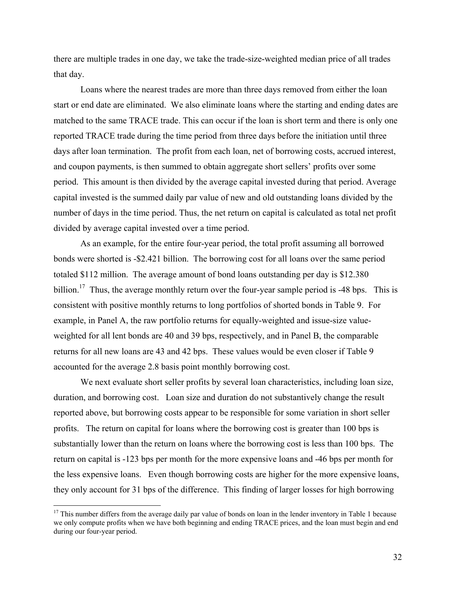there are multiple trades in one day, we take the trade-size-weighted median price of all trades that day.

Loans where the nearest trades are more than three days removed from either the loan start or end date are eliminated. We also eliminate loans where the starting and ending dates are matched to the same TRACE trade. This can occur if the loan is short term and there is only one reported TRACE trade during the time period from three days before the initiation until three days after loan termination. The profit from each loan, net of borrowing costs, accrued interest, and coupon payments, is then summed to obtain aggregate short sellers' profits over some period. This amount is then divided by the average capital invested during that period. Average capital invested is the summed daily par value of new and old outstanding loans divided by the number of days in the time period. Thus, the net return on capital is calculated as total net profit divided by average capital invested over a time period.

As an example, for the entire four-year period, the total profit assuming all borrowed bonds were shorted is -\$2.421 billion. The borrowing cost for all loans over the same period totaled \$112 million. The average amount of bond loans outstanding per day is \$12.380 billion.<sup>17</sup> Thus, the average monthly return over the four-year sample period is -48 bps. This is consistent with positive monthly returns to long portfolios of shorted bonds in Table 9. For example, in Panel A, the raw portfolio returns for equally-weighted and issue-size valueweighted for all lent bonds are 40 and 39 bps, respectively, and in Panel B, the comparable returns for all new loans are 43 and 42 bps. These values would be even closer if Table 9 accounted for the average 2.8 basis point monthly borrowing cost.

We next evaluate short seller profits by several loan characteristics, including loan size, duration, and borrowing cost. Loan size and duration do not substantively change the result reported above, but borrowing costs appear to be responsible for some variation in short seller profits. The return on capital for loans where the borrowing cost is greater than 100 bps is substantially lower than the return on loans where the borrowing cost is less than 100 bps. The return on capital is -123 bps per month for the more expensive loans and -46 bps per month for the less expensive loans. Even though borrowing costs are higher for the more expensive loans, they only account for 31 bps of the difference. This finding of larger losses for high borrowing

 $\overline{a}$ 

 $17$  This number differs from the average daily par value of bonds on loan in the lender inventory in Table 1 because we only compute profits when we have both beginning and ending TRACE prices, and the loan must begin and end during our four-year period.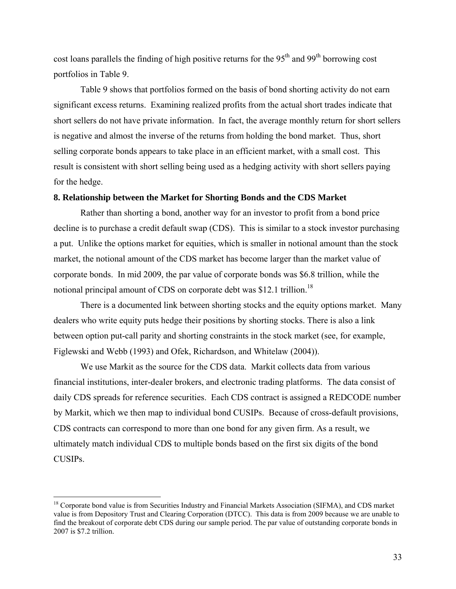cost loans parallels the finding of high positive returns for the 95<sup>th</sup> and 99<sup>th</sup> borrowing cost portfolios in Table 9.

Table 9 shows that portfolios formed on the basis of bond shorting activity do not earn significant excess returns. Examining realized profits from the actual short trades indicate that short sellers do not have private information. In fact, the average monthly return for short sellers is negative and almost the inverse of the returns from holding the bond market. Thus, short selling corporate bonds appears to take place in an efficient market, with a small cost. This result is consistent with short selling being used as a hedging activity with short sellers paying for the hedge.

## **8. Relationship between the Market for Shorting Bonds and the CDS Market**

Rather than shorting a bond, another way for an investor to profit from a bond price decline is to purchase a credit default swap (CDS). This is similar to a stock investor purchasing a put. Unlike the options market for equities, which is smaller in notional amount than the stock market, the notional amount of the CDS market has become larger than the market value of corporate bonds. In mid 2009, the par value of corporate bonds was \$6.8 trillion, while the notional principal amount of CDS on corporate debt was \$12.1 trillion.<sup>18</sup>

There is a documented link between shorting stocks and the equity options market. Many dealers who write equity puts hedge their positions by shorting stocks. There is also a link between option put-call parity and shorting constraints in the stock market (see, for example, Figlewski and Webb (1993) and Ofek, Richardson, and Whitelaw (2004)).

We use Markit as the source for the CDS data. Markit collects data from various financial institutions, inter-dealer brokers, and electronic trading platforms. The data consist of daily CDS spreads for reference securities. Each CDS contract is assigned a REDCODE number by Markit, which we then map to individual bond CUSIPs. Because of cross-default provisions, CDS contracts can correspond to more than one bond for any given firm. As a result, we ultimately match individual CDS to multiple bonds based on the first six digits of the bond CUSIPs.

 $\overline{a}$ 

<sup>&</sup>lt;sup>18</sup> Corporate bond value is from Securities Industry and Financial Markets Association (SIFMA), and CDS market value is from Depository Trust and Clearing Corporation (DTCC). This data is from 2009 because we are unable to find the breakout of corporate debt CDS during our sample period. The par value of outstanding corporate bonds in 2007 is \$7.2 trillion.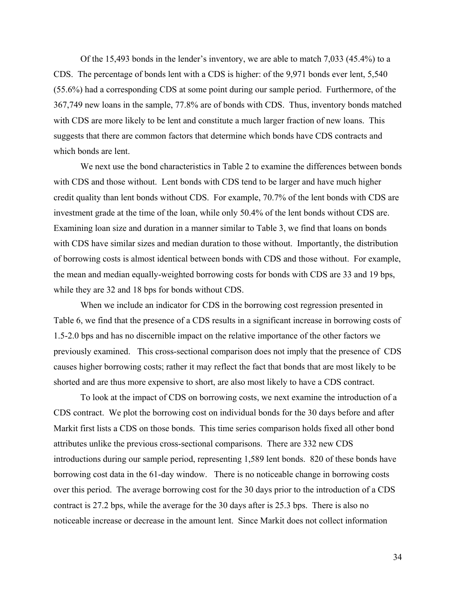Of the 15,493 bonds in the lender's inventory, we are able to match 7,033 (45.4%) to a CDS. The percentage of bonds lent with a CDS is higher: of the 9,971 bonds ever lent, 5,540 (55.6%) had a corresponding CDS at some point during our sample period. Furthermore, of the 367,749 new loans in the sample, 77.8% are of bonds with CDS. Thus, inventory bonds matched with CDS are more likely to be lent and constitute a much larger fraction of new loans. This suggests that there are common factors that determine which bonds have CDS contracts and which bonds are lent.

We next use the bond characteristics in Table 2 to examine the differences between bonds with CDS and those without. Lent bonds with CDS tend to be larger and have much higher credit quality than lent bonds without CDS. For example, 70.7% of the lent bonds with CDS are investment grade at the time of the loan, while only 50.4% of the lent bonds without CDS are. Examining loan size and duration in a manner similar to Table 3, we find that loans on bonds with CDS have similar sizes and median duration to those without. Importantly, the distribution of borrowing costs is almost identical between bonds with CDS and those without. For example, the mean and median equally-weighted borrowing costs for bonds with CDS are 33 and 19 bps, while they are 32 and 18 bps for bonds without CDS.

When we include an indicator for CDS in the borrowing cost regression presented in Table 6, we find that the presence of a CDS results in a significant increase in borrowing costs of 1.5-2.0 bps and has no discernible impact on the relative importance of the other factors we previously examined. This cross-sectional comparison does not imply that the presence of CDS causes higher borrowing costs; rather it may reflect the fact that bonds that are most likely to be shorted and are thus more expensive to short, are also most likely to have a CDS contract.

To look at the impact of CDS on borrowing costs, we next examine the introduction of a CDS contract. We plot the borrowing cost on individual bonds for the 30 days before and after Markit first lists a CDS on those bonds. This time series comparison holds fixed all other bond attributes unlike the previous cross-sectional comparisons. There are 332 new CDS introductions during our sample period, representing 1,589 lent bonds. 820 of these bonds have borrowing cost data in the 61-day window. There is no noticeable change in borrowing costs over this period. The average borrowing cost for the 30 days prior to the introduction of a CDS contract is 27.2 bps, while the average for the 30 days after is 25.3 bps. There is also no noticeable increase or decrease in the amount lent. Since Markit does not collect information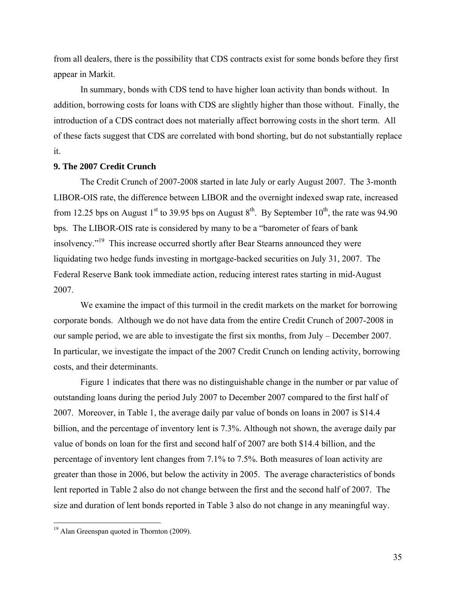from all dealers, there is the possibility that CDS contracts exist for some bonds before they first appear in Markit.

 In summary, bonds with CDS tend to have higher loan activity than bonds without. In addition, borrowing costs for loans with CDS are slightly higher than those without. Finally, the introduction of a CDS contract does not materially affect borrowing costs in the short term. All of these facts suggest that CDS are correlated with bond shorting, but do not substantially replace it.

## **9. The 2007 Credit Crunch**

 The Credit Crunch of 2007-2008 started in late July or early August 2007. The 3-month LIBOR-OIS rate, the difference between LIBOR and the overnight indexed swap rate, increased from 12.25 bps on August 1<sup>st</sup> to 39.95 bps on August 8<sup>th</sup>. By September 10<sup>th</sup>, the rate was 94.90 bps. The LIBOR-OIS rate is considered by many to be a "barometer of fears of bank insolvency."19 This increase occurred shortly after Bear Stearns announced they were liquidating two hedge funds investing in mortgage-backed securities on July 31, 2007. The Federal Reserve Bank took immediate action, reducing interest rates starting in mid-August 2007.

We examine the impact of this turmoil in the credit markets on the market for borrowing corporate bonds. Although we do not have data from the entire Credit Crunch of 2007-2008 in our sample period, we are able to investigate the first six months, from July – December 2007. In particular, we investigate the impact of the 2007 Credit Crunch on lending activity, borrowing costs, and their determinants.

 Figure 1 indicates that there was no distinguishable change in the number or par value of outstanding loans during the period July 2007 to December 2007 compared to the first half of 2007. Moreover, in Table 1, the average daily par value of bonds on loans in 2007 is \$14.4 billion, and the percentage of inventory lent is 7.3%. Although not shown, the average daily par value of bonds on loan for the first and second half of 2007 are both \$14.4 billion, and the percentage of inventory lent changes from 7.1% to 7.5%. Both measures of loan activity are greater than those in 2006, but below the activity in 2005. The average characteristics of bonds lent reported in Table 2 also do not change between the first and the second half of 2007. The size and duration of lent bonds reported in Table 3 also do not change in any meaningful way.

 $\overline{a}$ 

<sup>&</sup>lt;sup>19</sup> Alan Greenspan quoted in Thornton (2009).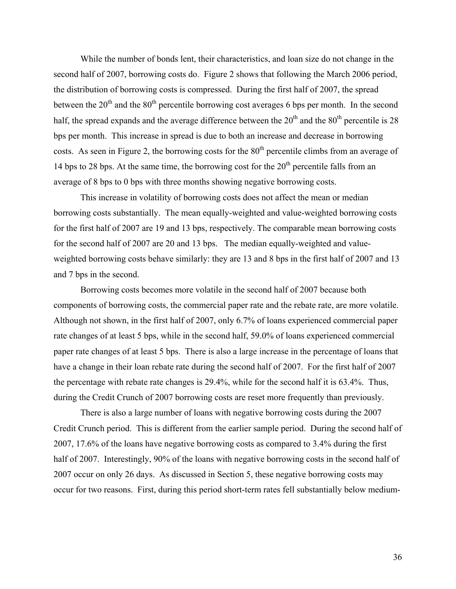While the number of bonds lent, their characteristics, and loan size do not change in the second half of 2007, borrowing costs do. Figure 2 shows that following the March 2006 period, the distribution of borrowing costs is compressed. During the first half of 2007, the spread between the  $20<sup>th</sup>$  and the  $80<sup>th</sup>$  percentile borrowing cost averages 6 bps per month. In the second half, the spread expands and the average difference between the  $20<sup>th</sup>$  and the  $80<sup>th</sup>$  percentile is 28 bps per month. This increase in spread is due to both an increase and decrease in borrowing costs. As seen in Figure 2, the borrowing costs for the  $80<sup>th</sup>$  percentile climbs from an average of 14 bps to 28 bps. At the same time, the borrowing cost for the  $20<sup>th</sup>$  percentile falls from an average of 8 bps to 0 bps with three months showing negative borrowing costs.

 This increase in volatility of borrowing costs does not affect the mean or median borrowing costs substantially. The mean equally-weighted and value-weighted borrowing costs for the first half of 2007 are 19 and 13 bps, respectively. The comparable mean borrowing costs for the second half of 2007 are 20 and 13 bps. The median equally-weighted and valueweighted borrowing costs behave similarly: they are 13 and 8 bps in the first half of 2007 and 13 and 7 bps in the second.

Borrowing costs becomes more volatile in the second half of 2007 because both components of borrowing costs, the commercial paper rate and the rebate rate, are more volatile. Although not shown, in the first half of 2007, only 6.7% of loans experienced commercial paper rate changes of at least 5 bps, while in the second half, 59.0% of loans experienced commercial paper rate changes of at least 5 bps. There is also a large increase in the percentage of loans that have a change in their loan rebate rate during the second half of 2007. For the first half of 2007 the percentage with rebate rate changes is 29.4%, while for the second half it is 63.4%. Thus, during the Credit Crunch of 2007 borrowing costs are reset more frequently than previously.

There is also a large number of loans with negative borrowing costs during the 2007 Credit Crunch period. This is different from the earlier sample period. During the second half of 2007, 17.6% of the loans have negative borrowing costs as compared to 3.4% during the first half of 2007. Interestingly, 90% of the loans with negative borrowing costs in the second half of 2007 occur on only 26 days. As discussed in Section 5, these negative borrowing costs may occur for two reasons. First, during this period short-term rates fell substantially below medium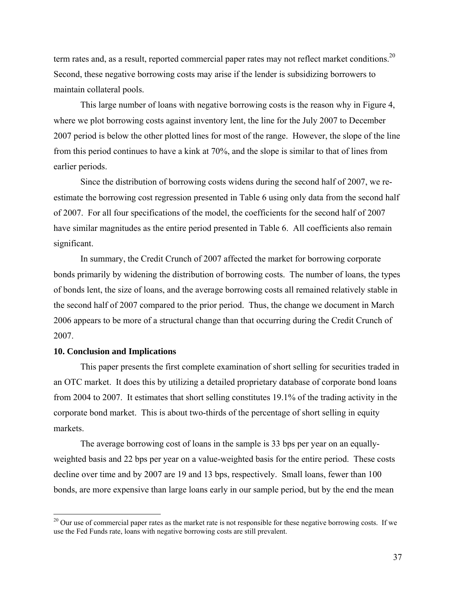term rates and, as a result, reported commercial paper rates may not reflect market conditions.<sup>20</sup> Second, these negative borrowing costs may arise if the lender is subsidizing borrowers to maintain collateral pools.

 This large number of loans with negative borrowing costs is the reason why in Figure 4, where we plot borrowing costs against inventory lent, the line for the July 2007 to December 2007 period is below the other plotted lines for most of the range. However, the slope of the line from this period continues to have a kink at 70%, and the slope is similar to that of lines from earlier periods.

Since the distribution of borrowing costs widens during the second half of 2007, we reestimate the borrowing cost regression presented in Table 6 using only data from the second half of 2007. For all four specifications of the model, the coefficients for the second half of 2007 have similar magnitudes as the entire period presented in Table 6. All coefficients also remain significant.

 In summary, the Credit Crunch of 2007 affected the market for borrowing corporate bonds primarily by widening the distribution of borrowing costs. The number of loans, the types of bonds lent, the size of loans, and the average borrowing costs all remained relatively stable in the second half of 2007 compared to the prior period. Thus, the change we document in March 2006 appears to be more of a structural change than that occurring during the Credit Crunch of 2007.

## **10. Conclusion and Implications**

1

This paper presents the first complete examination of short selling for securities traded in an OTC market. It does this by utilizing a detailed proprietary database of corporate bond loans from 2004 to 2007. It estimates that short selling constitutes 19.1% of the trading activity in the corporate bond market. This is about two-thirds of the percentage of short selling in equity markets.

The average borrowing cost of loans in the sample is 33 bps per year on an equallyweighted basis and 22 bps per year on a value-weighted basis for the entire period. These costs decline over time and by 2007 are 19 and 13 bps, respectively. Small loans, fewer than 100 bonds, are more expensive than large loans early in our sample period, but by the end the mean

 $20$  Our use of commercial paper rates as the market rate is not responsible for these negative borrowing costs. If we use the Fed Funds rate, loans with negative borrowing costs are still prevalent.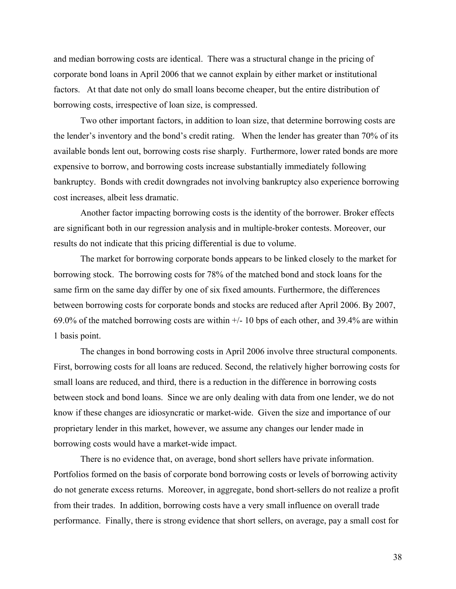and median borrowing costs are identical. There was a structural change in the pricing of corporate bond loans in April 2006 that we cannot explain by either market or institutional factors. At that date not only do small loans become cheaper, but the entire distribution of borrowing costs, irrespective of loan size, is compressed.

Two other important factors, in addition to loan size, that determine borrowing costs are the lender's inventory and the bond's credit rating. When the lender has greater than 70% of its available bonds lent out, borrowing costs rise sharply. Furthermore, lower rated bonds are more expensive to borrow, and borrowing costs increase substantially immediately following bankruptcy. Bonds with credit downgrades not involving bankruptcy also experience borrowing cost increases, albeit less dramatic.

Another factor impacting borrowing costs is the identity of the borrower. Broker effects are significant both in our regression analysis and in multiple-broker contests. Moreover, our results do not indicate that this pricing differential is due to volume.

The market for borrowing corporate bonds appears to be linked closely to the market for borrowing stock. The borrowing costs for 78% of the matched bond and stock loans for the same firm on the same day differ by one of six fixed amounts. Furthermore, the differences between borrowing costs for corporate bonds and stocks are reduced after April 2006. By 2007, 69.0% of the matched borrowing costs are within  $+/- 10$  bps of each other, and 39.4% are within 1 basis point.

The changes in bond borrowing costs in April 2006 involve three structural components. First, borrowing costs for all loans are reduced. Second, the relatively higher borrowing costs for small loans are reduced, and third, there is a reduction in the difference in borrowing costs between stock and bond loans. Since we are only dealing with data from one lender, we do not know if these changes are idiosyncratic or market-wide. Given the size and importance of our proprietary lender in this market, however, we assume any changes our lender made in borrowing costs would have a market-wide impact.

There is no evidence that, on average, bond short sellers have private information. Portfolios formed on the basis of corporate bond borrowing costs or levels of borrowing activity do not generate excess returns. Moreover, in aggregate, bond short-sellers do not realize a profit from their trades. In addition, borrowing costs have a very small influence on overall trade performance. Finally, there is strong evidence that short sellers, on average, pay a small cost for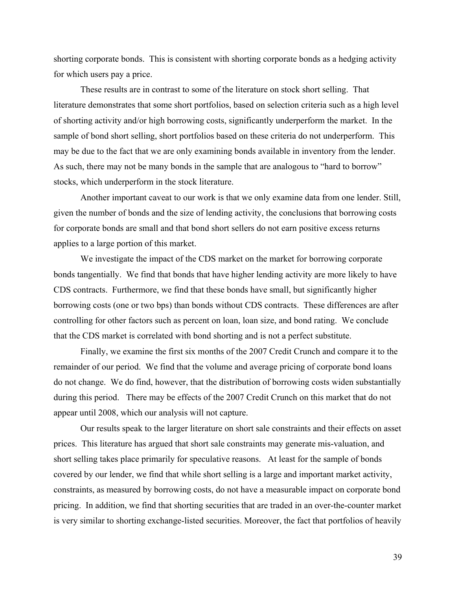shorting corporate bonds. This is consistent with shorting corporate bonds as a hedging activity for which users pay a price.

These results are in contrast to some of the literature on stock short selling. That literature demonstrates that some short portfolios, based on selection criteria such as a high level of shorting activity and/or high borrowing costs, significantly underperform the market. In the sample of bond short selling, short portfolios based on these criteria do not underperform. This may be due to the fact that we are only examining bonds available in inventory from the lender. As such, there may not be many bonds in the sample that are analogous to "hard to borrow" stocks, which underperform in the stock literature.

Another important caveat to our work is that we only examine data from one lender. Still, given the number of bonds and the size of lending activity, the conclusions that borrowing costs for corporate bonds are small and that bond short sellers do not earn positive excess returns applies to a large portion of this market.

We investigate the impact of the CDS market on the market for borrowing corporate bonds tangentially. We find that bonds that have higher lending activity are more likely to have CDS contracts. Furthermore, we find that these bonds have small, but significantly higher borrowing costs (one or two bps) than bonds without CDS contracts. These differences are after controlling for other factors such as percent on loan, loan size, and bond rating. We conclude that the CDS market is correlated with bond shorting and is not a perfect substitute.

 Finally, we examine the first six months of the 2007 Credit Crunch and compare it to the remainder of our period. We find that the volume and average pricing of corporate bond loans do not change. We do find, however, that the distribution of borrowing costs widen substantially during this period. There may be effects of the 2007 Credit Crunch on this market that do not appear until 2008, which our analysis will not capture.

 Our results speak to the larger literature on short sale constraints and their effects on asset prices. This literature has argued that short sale constraints may generate mis-valuation, and short selling takes place primarily for speculative reasons. At least for the sample of bonds covered by our lender, we find that while short selling is a large and important market activity, constraints, as measured by borrowing costs, do not have a measurable impact on corporate bond pricing. In addition, we find that shorting securities that are traded in an over-the-counter market is very similar to shorting exchange-listed securities. Moreover, the fact that portfolios of heavily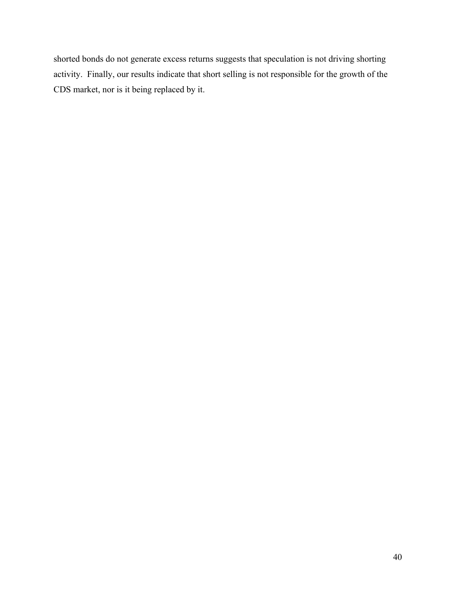shorted bonds do not generate excess returns suggests that speculation is not driving shorting activity. Finally, our results indicate that short selling is not responsible for the growth of the CDS market, nor is it being replaced by it.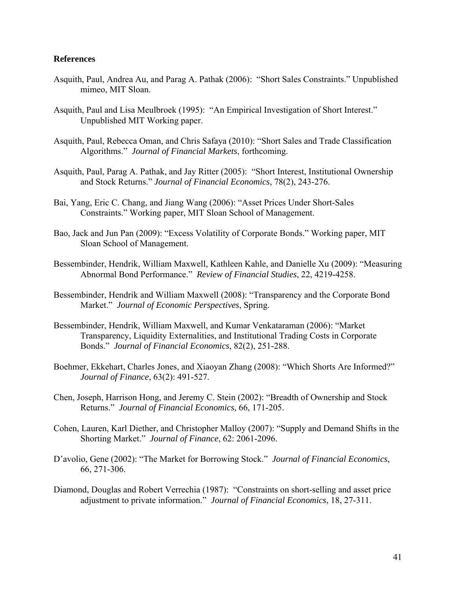## **References**

- Asquith, Paul, Andrea Au, and Parag A. Pathak (2006): "Short Sales Constraints." Unpublished mimeo, MIT Sloan.
- Asquith, Paul and Lisa Meulbroek (1995): "An Empirical Investigation of Short Interest." Unpublished MIT Working paper.
- Asquith, Paul, Rebecca Oman, and Chris Safaya (2010): "Short Sales and Trade Classification Algorithms." *Journal of Financial Markets*, forthcoming.
- Asquith, Paul, Parag A. Pathak, and Jay Ritter (2005): "Short Interest, Institutional Ownership and Stock Returns." *Journal of Financial Economics*, 78(2), 243-276.
- Bai, Yang, Eric C. Chang, and Jiang Wang (2006): "Asset Prices Under Short-Sales Constraints." Working paper, MIT Sloan School of Management.
- Bao, Jack and Jun Pan (2009): "Excess Volatility of Corporate Bonds." Working paper, MIT Sloan School of Management.
- Bessembinder, Hendrik, William Maxwell, Kathleen Kahle, and Danielle Xu (2009): "Measuring Abnormal Bond Performance." *Review of Financial Studies*, 22, 4219-4258.
- Bessembinder, Hendrik and William Maxwell (2008): "Transparency and the Corporate Bond Market." *Journal of Economic Perspectives*, Spring.
- Bessembinder, Hendrik, William Maxwell, and Kumar Venkataraman (2006): "Market Transparency, Liquidity Externalities, and Institutional Trading Costs in Corporate Bonds." *Journal of Financial Economics*, 82(2), 251-288.
- Boehmer, Ekkehart, Charles Jones, and Xiaoyan Zhang (2008): "Which Shorts Are Informed?" *Journal of Finance*, 63(2): 491-527.
- Chen, Joseph, Harrison Hong, and Jeremy C. Stein (2002): "Breadth of Ownership and Stock Returns." *Journal of Financial Economics,* 66, 171-205.
- Cohen, Lauren, Karl Diether, and Christopher Malloy (2007): "Supply and Demand Shifts in the Shorting Market." *Journal of Finance*, 62: 2061-2096.
- D'avolio, Gene (2002): "The Market for Borrowing Stock." *Journal of Financial Economics*, 66, 271-306.
- Diamond, Douglas and Robert Verrechia (1987): "Constraints on short-selling and asset price adjustment to private information." *Journal of Financial Economics*, 18, 27-311.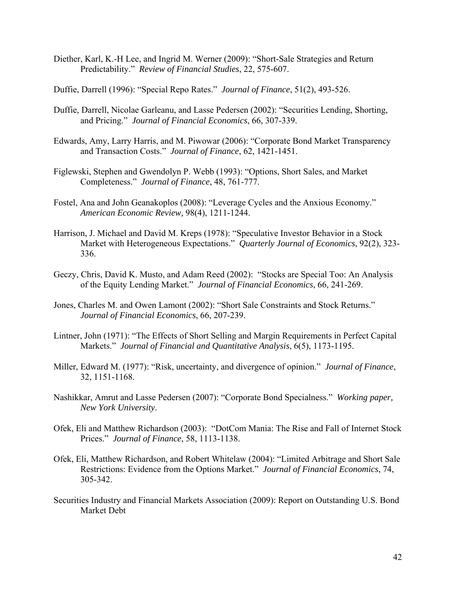- Diether, Karl, K.-H Lee, and Ingrid M. Werner (2009): "Short-Sale Strategies and Return Predictability." *Review of Financial Studies*, 22, 575-607.
- Duffie, Darrell (1996): "Special Repo Rates." *Journal of Finance*, 51(2), 493-526.
- Duffie, Darrell, Nicolae Garleanu, and Lasse Pedersen (2002): "Securities Lending, Shorting, and Pricing." *Journal of Financial Economics*, 66, 307-339.
- Edwards, Amy, Larry Harris, and M. Piwowar (2006): "Corporate Bond Market Transparency and Transaction Costs." *Journal of Finance*, 62, 1421-1451.
- Figlewski, Stephen and Gwendolyn P. Webb (1993): "Options, Short Sales, and Market Completeness." *Journal of Finance*, 48, 761-777.
- Fostel, Ana and John Geanakoplos (2008): "Leverage Cycles and the Anxious Economy." *American Economic Review,* 98(4), 1211-1244.
- Harrison, J. Michael and David M. Kreps (1978): "Speculative Investor Behavior in a Stock Market with Heterogeneous Expectations." *Quarterly Journal of Economics*, 92(2), 323- 336.
- Geczy, Chris, David K. Musto, and Adam Reed (2002): "Stocks are Special Too: An Analysis of the Equity Lending Market." *Journal of Financial Economics*, 66, 241-269.
- Jones, Charles M. and Owen Lamont (2002): "Short Sale Constraints and Stock Returns." *Journal of Financial Economics*, 66, 207-239.
- Lintner, John (1971): "The Effects of Short Selling and Margin Requirements in Perfect Capital Markets." *Journal of Financial and Quantitative Analysis*, 6(5), 1173-1195.
- Miller, Edward M. (1977): "Risk, uncertainty, and divergence of opinion." *Journal of Finance*, 32, 1151-1168.
- Nashikkar, Amrut and Lasse Pedersen (2007): "Corporate Bond Specialness." *Working paper, New York University*.
- Ofek, Eli and Matthew Richardson (2003): "DotCom Mania: The Rise and Fall of Internet Stock Prices." *Journal of Finance*, 58, 1113-1138.
- Ofek, Eli, Matthew Richardson, and Robert Whitelaw (2004): "Limited Arbitrage and Short Sale Restrictions: Evidence from the Options Market." *Journal of Financial Economics*, 74, 305-342.
- Securities Industry and Financial Markets Association (2009): Report on Outstanding U.S. Bond Market Debt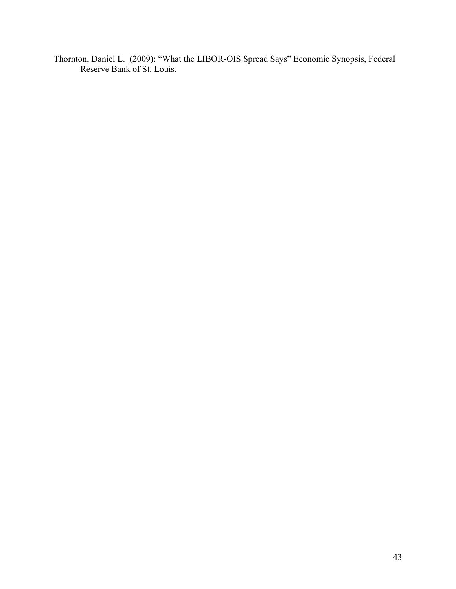Thornton, Daniel L. (2009): "What the LIBOR-OIS Spread Says" Economic Synopsis, Federal Reserve Bank of St. Louis.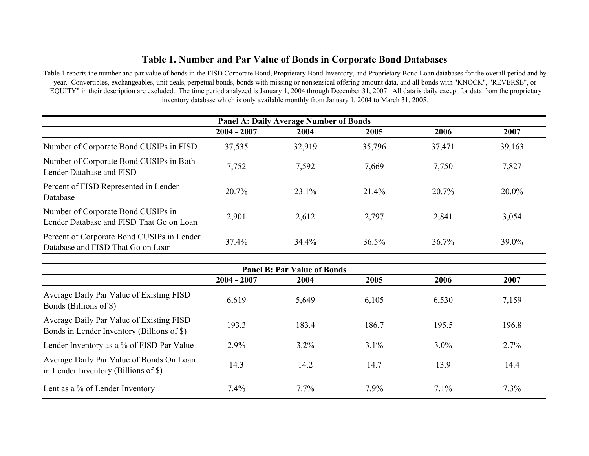# **Table 1. Number and Par Value of Bonds in Corporate Bond Databases**

Table 1 reports the number and par value of bonds in the FISD Corporate Bond, Proprietary Bond Inventory, and Proprietary Bond Loan databases for the overall period and b y year. Convertibles, exchangeables, unit deals, perpetual bonds, bonds with missing or nonsensical offering amount data, and all bonds with "KNOCK", "REVERSE", or "EQUITY" in their description are excluded. The time period analyzed is January 1, 2004 through December 31, 2007. All data is daily except for data from the proprietary inventory database which is only available monthly from January 1, 2004 to March 31, 2005.

|                                                                                 | <b>Panel A: Daily Average Number of Bonds</b> |        |        |        |          |  |  |  |  |  |  |
|---------------------------------------------------------------------------------|-----------------------------------------------|--------|--------|--------|----------|--|--|--|--|--|--|
|                                                                                 | $2004 - 2007$                                 | 2004   | 2005   | 2006   | 2007     |  |  |  |  |  |  |
| Number of Corporate Bond CUSIPs in FISD                                         | 37,535                                        | 32,919 | 35,796 | 37,471 | 39,163   |  |  |  |  |  |  |
| Number of Corporate Bond CUSIPs in Both<br>Lender Database and FISD             | 7,752                                         | 7,592  | 7,669  | 7,750  | 7,827    |  |  |  |  |  |  |
| Percent of FISD Represented in Lender<br>Database                               | $20.7\%$                                      | 23.1%  | 21.4%  | 20.7%  | $20.0\%$ |  |  |  |  |  |  |
| Number of Corporate Bond CUSIPs in<br>Lender Database and FISD That Go on Loan  | 2,901                                         | 2,612  | 2,797  | 2,841  | 3,054    |  |  |  |  |  |  |
| Percent of Corporate Bond CUSIPs in Lender<br>Database and FISD That Go on Loan | 37.4%                                         | 34.4%  | 36.5%  | 36.7%  | 39.0%    |  |  |  |  |  |  |

| <b>Panel B: Par Value of Bonds</b>                                                     |               |         |         |         |       |  |  |  |  |  |
|----------------------------------------------------------------------------------------|---------------|---------|---------|---------|-------|--|--|--|--|--|
|                                                                                        | $2004 - 2007$ | 2004    | 2005    | 2006    | 2007  |  |  |  |  |  |
| Average Daily Par Value of Existing FISD<br>Bonds (Billions of \$)                     | 6,619         | 5,649   | 6,105   | 6,530   | 7,159 |  |  |  |  |  |
| Average Daily Par Value of Existing FISD<br>Bonds in Lender Inventory (Billions of \$) | 193.3         | 183.4   | 186.7   | 195.5   | 196.8 |  |  |  |  |  |
| Lender Inventory as a % of FISD Par Value                                              | 2.9%          | $3.2\%$ | $3.1\%$ | $3.0\%$ | 2.7%  |  |  |  |  |  |
| Average Daily Par Value of Bonds On Loan<br>in Lender Inventory (Billions of \$)       | 14.3          | 14.2    | 14.7    | 13.9    | 14.4  |  |  |  |  |  |
| Lent as a % of Lender Inventory                                                        | 7.4%          | $7.7\%$ | 7.9%    | $7.1\%$ | 7.3%  |  |  |  |  |  |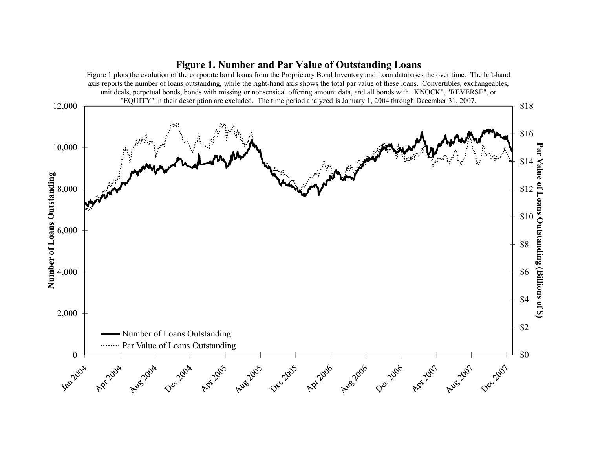# **Figure 1. Number and Par Value of Outstanding Loans**

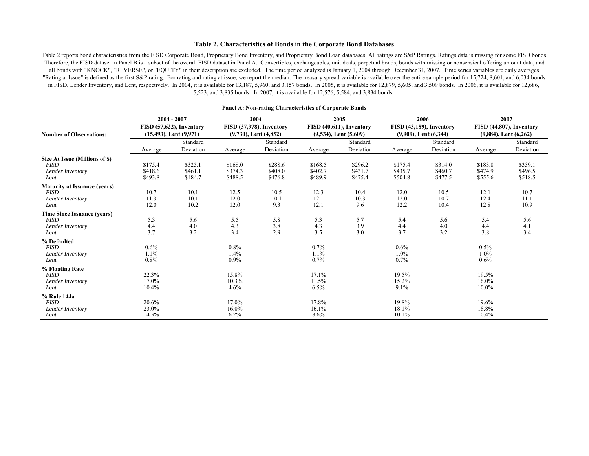#### **Table 2. Characteristics of Bonds in the Corporate Bond Databases**

Table 2 reports bond characteristics from the FISD Corporate Bond, Proprietary Bond Inventory, and Proprietary Bond Loan databases. All ratings are S&P Ratings. Ratings data is missing for some FISD bonds. Therefore, the FISD dataset in Panel B is a subset of the overall FISD dataset in Panel A. Convertibles, exchangeables, unit deals, perpetual bonds, bonds with missing or nonsensical offering amount data, and all bonds with "KNOCK", "REVERSE", or "EQUITY" in their description are excluded. The time period analyzed is January 1, 2004 through December 31, 2007. Time series variables are daily averages. "Rating at Issue" is defined as the first S&P rating. For rating and rating at issue, we report the median. The treasury spread variable is available over the entire sample period for 15,724, 8,601, and 6,034 bonds in FISD, Lender Inventory, and Lent, respectively. In 2004, it is available for 13,187, 5,960, and 3,157 bonds. In 2005, it is available for 12,879, 5,605, and 3,509 bonds. In 2006, it is available for 12,686, 5,523, and 3,835 bonds. In 2007, it is available for 12,576, 5,584, and 3,834 bonds.

|                                     |         | $2004 - 2007$               |          | 2004                       |         | 2005                       |         | 2006                       |                            | 2007                     |
|-------------------------------------|---------|-----------------------------|----------|----------------------------|---------|----------------------------|---------|----------------------------|----------------------------|--------------------------|
|                                     |         | FISD (57,622), Inventory    |          | FISD (37,978), Inventory   |         | FISD (40,611), Inventory   |         | FISD (43,189), Inventory   |                            | FISD (44,807), Inventory |
| <b>Number of Observations:</b>      |         | $(15,493)$ , Lent $(9,971)$ |          | $(9,730)$ , Lent $(4,852)$ |         | $(9,534)$ , Lent $(5,609)$ |         | $(9,909)$ , Lent $(6,344)$ | $(9,884)$ , Lent $(6,262)$ |                          |
|                                     |         | Standard                    |          | Standard                   |         | Standard                   |         | Standard                   |                            | Standard                 |
|                                     | Average | Deviation                   | Average  | Deviation                  | Average | Deviation                  | Average | Deviation                  | Average                    | Deviation                |
| Size At Issue (Millions of \$)      |         |                             |          |                            |         |                            |         |                            |                            |                          |
| <b>FISD</b>                         | \$175.4 | \$325.1                     | \$168.0  | \$288.6                    | \$168.5 | \$296.2                    | \$175.4 | \$314.0                    | \$183.8                    | \$339.1                  |
| Lender Inventory                    | \$418.6 | \$461.1                     | \$374.3  | \$408.0                    | \$402.7 | \$431.7                    | \$435.7 | \$460.7                    | \$474.9                    | \$496.5                  |
| Lent                                | \$493.8 | \$484.7                     | \$488.5  | \$476.8                    | \$489.9 | \$475.4                    | \$504.8 | \$477.5                    | \$555.6                    | \$518.5                  |
| <b>Maturity at Issuance (years)</b> |         |                             |          |                            |         |                            |         |                            |                            |                          |
| <b>FISD</b>                         | 10.7    | 10.1                        | 12.5     | 10.5                       | 12.3    | 10.4                       | 12.0    | 10.5                       | 12.1                       | 10.7                     |
| Lender Inventory                    | 11.3    | 10.1                        | 12.0     | 10.1                       | 12.1    | 10.3                       | 12.0    | 10.7                       | 12.4                       | 11.1                     |
| Lent                                | 12.0    | 10.2                        | 12.0     | 9.3                        | 12.1    | 9.6                        | 12.2    | 10.4                       | 12.8                       | 10.9                     |
| <b>Time Since Issuance (years)</b>  |         |                             |          |                            |         |                            |         |                            |                            |                          |
| <b>FISD</b>                         | 5.3     | 5.6                         | 5.5      | 5.8                        | 5.3     | 5.7                        | 5.4     | 5.6                        | 5.4                        | 5.6                      |
| Lender Inventory                    | 4.4     | 4.0                         | 4.3      | 3.8                        | 4.3     | 3.9                        | 4.4     | 4.0                        | 4.4                        | 4.1                      |
| Lent                                | 3.7     | 3.2                         | 3.4      | 2.9                        | 3.5     | 3.0                        | 3.7     | 3.2                        | 3.8                        | 3.4                      |
| % Defaulted                         |         |                             |          |                            |         |                            |         |                            |                            |                          |
| <b>FISD</b>                         | $0.6\%$ |                             | $0.8\%$  |                            | 0.7%    |                            | $0.6\%$ |                            | $0.5\%$                    |                          |
| Lender Inventory                    | 1.1%    |                             | $1.4\%$  |                            | 1.1%    |                            | $1.0\%$ |                            | $1.0\%$                    |                          |
| Lent                                | $0.8\%$ |                             | $0.9\%$  |                            | 0.7%    |                            | 0.7%    |                            | $0.6\%$                    |                          |
| % Floating Rate                     |         |                             |          |                            |         |                            |         |                            |                            |                          |
| <b>FISD</b>                         | 22.3%   |                             | 15.8%    |                            | 17.1%   |                            | 19.5%   |                            | 19.5%                      |                          |
| Lender Inventory                    | 17.0%   |                             | $10.3\%$ |                            | 11.5%   |                            | 15.2%   |                            | $16.0\%$                   |                          |
| Lent                                | 10.4%   |                             | 4.6%     |                            | 6.5%    |                            | 9.1%    |                            | $10.0\%$                   |                          |
| % Rule 144a                         |         |                             |          |                            |         |                            |         |                            |                            |                          |
| <b>FISD</b>                         | 20.6%   |                             | 17.0%    |                            | 17.8%   |                            | 19.8%   |                            | 19.6%                      |                          |
| Lender Inventory                    | 23.0%   |                             | $16.0\%$ |                            | 16.1%   |                            | 18.1%   |                            | 18.8%                      |                          |
| Lent                                | 14.3%   |                             | 6.2%     |                            | $8.6\%$ |                            | 10.1%   |                            | 10.4%                      |                          |

#### **Panel A: Non-rating Characteristics of Corporate Bonds**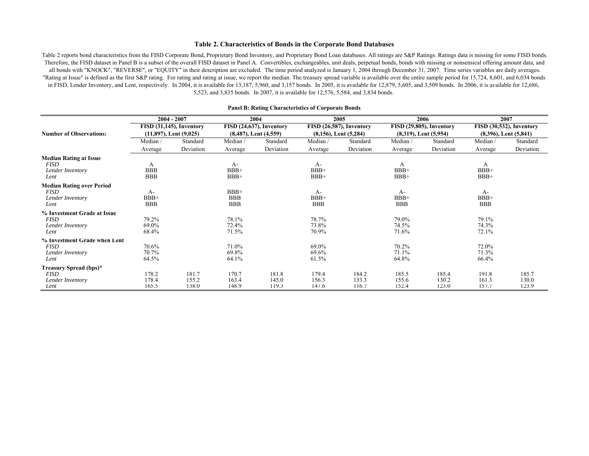#### **Table 2. Characteristics of Bonds in the Corporate Bond Databases**

Table 2 reports bond characteristics from the FISD Corporate Bond, Proprietary Bond Inventory, and Proprietary Bond Loan databases. All ratings are S&P Ratings. Ratings data is missing for some FISD bonds. Therefore, the FISD dataset in Panel B is a subset of the overall FISD dataset in Panel A. Convertibles, exchangeables, unit deals, perpetual bonds, bonds with missing or nonsensical offering amount data, and all bonds with "KNOCK", "REVERSE", or "EQUITY" in their description are excluded. The time period analyzed is January 1, 2004 through December 31, 2007. Time series variables are daily averages. "Rating at Issue" is defined as the first S&P rating. For rating and rating at issue, we report the median. The treasury spread variable is available over the entire sample period for 15,724, 8,601, and 6,034 bonds in FISD, Lender Inventory, and Lent, respectively. In 2004, it is available for 13,187, 5,960, and 3,157 bonds. In 2005, it is available for 12,879, 5,605, and 3,509 bonds. In 2006, it is available for 12,686, 5,523, and 3,835 bonds. In 2007, it is available for 12,576, 5,584, and 3,834 bonds.

|                                  |                             | $2004 - 2007$            |            | 2004                       |            | 2005                       |            | 2006                       |                            | 2007      |
|----------------------------------|-----------------------------|--------------------------|------------|----------------------------|------------|----------------------------|------------|----------------------------|----------------------------|-----------|
|                                  |                             | FISD (31,145), Inventory |            | FISD (24,637), Inventory   |            | FISD (26,587), Inventory   |            | FISD (29,805), Inventory   | FISD (30,532), Inventory   |           |
| <b>Number of Observations:</b>   | $(11,897)$ , Lent $(9,025)$ |                          |            | $(8,487)$ , Lent $(4,559)$ |            | $(8,156)$ , Lent $(5,284)$ |            | $(8,319)$ , Lent $(5,954)$ | $(8,396)$ , Lent $(5,841)$ |           |
|                                  | Median/                     | Standard                 | Median/    | Standard                   | Median/    | Standard                   | Median/    | Standard                   | Median/                    | Standard  |
|                                  | Average                     | Deviation                | Average    | Deviation                  | Average    | Deviation                  | Average    | Deviation                  | Average                    | Deviation |
| <b>Median Rating at Issue</b>    |                             |                          |            |                            |            |                            |            |                            |                            |           |
| <b>FISD</b>                      | A                           |                          | $A-$       |                            | A-         |                            | A          |                            | A                          |           |
| Lender Inventory                 | <b>BBB</b>                  |                          | $BBB+$     |                            | $BBB+$     |                            | $BBB+$     |                            | $BBB+$                     |           |
| Lent                             | <b>BBB</b>                  |                          | $BBB+$     |                            | BBB+       |                            | $BBB+$     |                            | $BBB+$                     |           |
| <b>Median Rating over Period</b> |                             |                          |            |                            |            |                            |            |                            |                            |           |
| <i>FISD</i>                      | A-                          |                          | $BBB+$     |                            | A-         |                            | A-         |                            | A-                         |           |
| Lender Inventory                 | BBB+                        |                          | <b>BBB</b> |                            | BBB+       |                            | $BBB+$     |                            | $BBB+$                     |           |
| Lent                             | <b>BBB</b>                  |                          | <b>BBB</b> |                            | <b>BBB</b> |                            | <b>BBB</b> |                            | <b>BBB</b>                 |           |
| % Investment Grade at Issue      |                             |                          |            |                            |            |                            |            |                            |                            |           |
| <b>FISD</b>                      | 79.2%                       |                          | 78.1%      |                            | 78.7%      |                            | 79.0%      |                            | 79.1%                      |           |
| Lender Inventory                 | 69.0%                       |                          | 72.4%      |                            | 73.8%      |                            | 74.5%      |                            | 74.3%                      |           |
| Lent                             | 68.4%                       |                          | 71.5%      |                            | 70.9%      |                            | 71.6%      |                            | 72.1%                      |           |
| % Investment Grade when Lent     |                             |                          |            |                            |            |                            |            |                            |                            |           |
| <b>FISD</b>                      | 70.6%                       |                          | 71.0%      |                            | 69.0%      |                            | 70.2%      |                            | 72.0%                      |           |
| Lender Inventory                 | 70.7%                       |                          | 69.8%      |                            | 69.6%      |                            | 71.1%      |                            | 71.3%                      |           |
| Lent                             | 64.5%                       |                          | 64.1%      |                            | 61.5%      |                            | 64.8%      |                            | 66.4%                      |           |
| Treasury Spread (bps)*           |                             |                          |            |                            |            |                            |            |                            |                            |           |
| <b>FISD</b>                      | 178.2                       | 181.7                    | 170.7      | 181.8                      | 179.4      | 184.2                      | 185.5      | 185.4                      | 191.8                      | 185.7     |
| Lender Inventory                 | 178.4                       | 155.2                    | 163.4      | 145.0                      | 156.3      | 133.3                      | 155.6      | 130.2                      | 161.3                      | 130.0     |
| Lent                             | 165.5                       | 138.0                    | 148.9      | 119.3                      | 147.6      | 116.7                      | 152.4      | 123.0                      | 157.7                      | 123.9     |

#### **Panel B: Rating Characteristics of Corporate Bonds**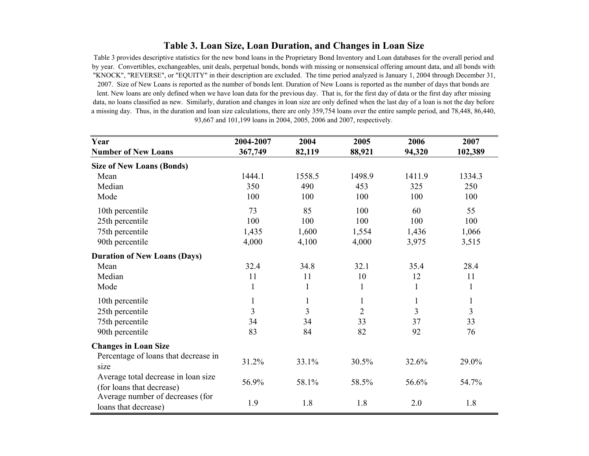# **Table 3. Loan Size, Loan Duration, and Changes in Loan Size**

Table 3 provides descriptive statistics for the new bond loans in the Proprietary Bond Inventory and Loan databases for the overall period and by year. Convertibles, exchangeables, unit deals, perpetual bonds, bonds with missing or nonsensical offering amount data, and all bonds with "KNOCK", "REVERSE", or "EQUITY" in their description are excluded. The time period analyzed is January 1, 2004 through December 31, 2007. Size of New Loans is reported as the number of bonds lent. Duration of New Loans is reported as the number of days that bonds are lent. New loans are only defined when we have loan data for the previous day. That is, for the first day of data or the first day after missing data, no loans classified as new. Similarly, duration and changes in loan size are only defined when the last day of a loan is not the day before a missing day. Thus, in the duration and loan size calculations, there are only 359,754 loans over the entire sample period, and 78,448, 86,440, 93,667 and 101,199 loans in 2004, 2005, 2006 and 2007, respectively.

| Year                                 | 2004-2007 | 2004   | 2005           | 2006   | 2007           |
|--------------------------------------|-----------|--------|----------------|--------|----------------|
| <b>Number of New Loans</b>           | 367,749   | 82,119 | 88,921         | 94,320 | 102,389        |
| <b>Size of New Loans (Bonds)</b>     |           |        |                |        |                |
| Mean                                 | 1444.1    | 1558.5 | 1498.9         | 1411.9 | 1334.3         |
| Median                               | 350       | 490    | 453            | 325    | 250            |
| Mode                                 | 100       | 100    | 100            | 100    | 100            |
| 10th percentile                      | 73        | 85     | 100            | 60     | 55             |
| 25th percentile                      | 100       | 100    | 100            | 100    | 100            |
| 75th percentile                      | 1,435     | 1,600  | 1,554          | 1,436  | 1,066          |
| 90th percentile                      | 4,000     | 4,100  | 4,000          | 3,975  | 3,515          |
| <b>Duration of New Loans (Days)</b>  |           |        |                |        |                |
| Mean                                 | 32.4      | 34.8   | 32.1           | 35.4   | 28.4           |
| Median                               | 11        | 11     | 10             | 12     | 11             |
| Mode                                 | 1         | 1      | 1              | 1      | 1              |
| 10th percentile                      |           | 1      | 1              | 1      | $\mathbf{1}$   |
| 25th percentile                      | 3         | 3      | $\overline{2}$ | 3      | $\overline{3}$ |
| 75th percentile                      | 34        | 34     | 33             | 37     | 33             |
| 90th percentile                      | 83        | 84     | 82             | 92     | 76             |
| <b>Changes in Loan Size</b>          |           |        |                |        |                |
| Percentage of loans that decrease in |           |        |                |        |                |
| size                                 | 31.2%     | 33.1%  | 30.5%          | 32.6%  | 29.0%          |
| Average total decrease in loan size  |           |        |                |        |                |
| (for loans that decrease)            | 56.9%     | 58.1%  | 58.5%          | 56.6%  | 54.7%          |
| Average number of decreases (for     | 1.9       | 1.8    | 1.8            | 2.0    | 1.8            |
| loans that decrease)                 |           |        |                |        |                |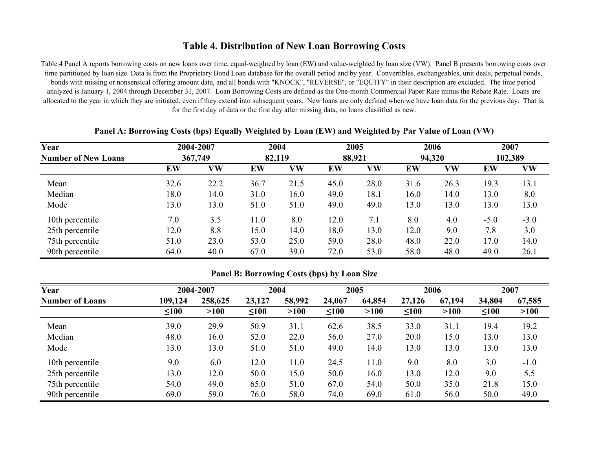# **Table 4. Distribution of New Loan Borrowing Costs**

Table 4 Panel A reports borrowing costs on new loans over time, equal-weighted by loan (EW) and value-weighted by loan size (VW). Panel B presents borrowing costs over time partitioned by loan size. Data is from the Proprietary Bond Loan database for the overall period and by year. Convertibles, exchangeables, unit deals, perpetual bonds, bonds with missing or nonsensical offering amount data, and all bonds with "KNOCK", "REVERSE", or "EQUITY" in their description are excluded. The time period analyzed is January 1, 2004 through December 31, 2007. Loan Borrowing Costs are defined as the One-month Commercial Paper Rate minus the Rebate Rate. Loans are allocated to the year in which they are initiated, even if they extend into subsequent years. New loans are only defined when we have loan data for the previous day. That is, for the first day of data or the first day after missing data, no loans classified as new.

| Year                       |      | 2004-2007<br>367,749 |      | 2004   |      | 2005   |      | 2006   | 2007   |         |
|----------------------------|------|----------------------|------|--------|------|--------|------|--------|--------|---------|
| <b>Number of New Loans</b> |      |                      |      | 82,119 |      | 88,921 |      | 94,320 |        | 102,389 |
|                            | EW   | VW                   | EW   | VW     | EW   | VW     | EW   | VW     | EW     | VW      |
| Mean                       | 32.6 | 22.2                 | 36.7 | 21.5   | 45.0 | 28.0   | 31.6 | 26.3   | 19.3   | 13.1    |
| Median                     | 18.0 | 14.0                 | 31.0 | 16.0   | 49.0 | 18.1   | 16.0 | 14.0   | 13.0   | 8.0     |
| Mode                       | 13.0 | 13.0                 | 51.0 | 51.0   | 49.0 | 49.0   | 13.0 | 13.0   | 13.0   | 13.0    |
| 10th percentile            | 7.0  | 3.5                  | 11.0 | 8.0    | 12.0 | 7.1    | 8.0  | 4.0    | $-5.0$ | $-3.0$  |
| 25th percentile            | 12.0 | 8.8                  | 15.0 | 14.0   | 18.0 | 13.0   | 12.0 | 9.0    | 7.8    | 3.0     |
| 75th percentile            | 51.0 | 23.0                 | 53.0 | 25.0   | 59.0 | 28.0   | 48.0 | 22.0   | 17.0   | 14.0    |
| 90th percentile            | 64.0 | 40.0                 | 67.0 | 39.0   | 72.0 | 53.0   | 58.0 | 48.0   | 49.0   | 26.1    |

## **Panel A: Borrowing Costs (bps) Equally Weighted by Loan (EW) and Weighted by Par Value of Loan (VW)**

## **Panel B: Borrowing Costs (bps) by Loan Size**

| Year                   |            | 2004-2007 | 2004       |        |            | 2005   |            | 2006   |            | 2007   |
|------------------------|------------|-----------|------------|--------|------------|--------|------------|--------|------------|--------|
| <b>Number of Loans</b> | 109,124    | 258,625   | 23,127     | 58,992 | 24,067     | 64,854 | 27,126     | 67,194 | 34,804     | 67,585 |
|                        | $\leq 100$ | >100      | $\leq 100$ | >100   | $\leq 100$ | >100   | $\leq 100$ | >100   | $\leq 100$ | >100   |
| Mean                   | 39.0       | 29.9      | 50.9       | 31.1   | 62.6       | 38.5   | 33.0       | 31.1   | 19.4       | 19.2   |
| Median                 | 48.0       | 16.0      | 52.0       | 22.0   | 56.0       | 27.0   | 20.0       | 15.0   | 13.0       | 13.0   |
| Mode                   | 13.0       | 13.0      | 51.0       | 51.0   | 49.0       | 14.0   | 13.0       | 13.0   | 13.0       | 13.0   |
| 10th percentile        | 9.0        | 6.0       | 12.0       | 11.0   | 24.5       | 11.0   | 9.0        | 8.0    | 3.0        | $-1.0$ |
| 25th percentile        | 13.0       | 12.0      | 50.0       | 15.0   | 50.0       | 16.0   | 13.0       | 12.0   | 9.0        | 5.5    |
| 75th percentile        | 54.0       | 49.0      | 65.0       | 51.0   | 67.0       | 54.0   | 50.0       | 35.0   | 21.8       | 15.0   |
| 90th percentile        | 69.0       | 59.0      | 76.0       | 58.0   | 74.0       | 69.0   | 61.0       | 56.0   | 50.0       | 49.0   |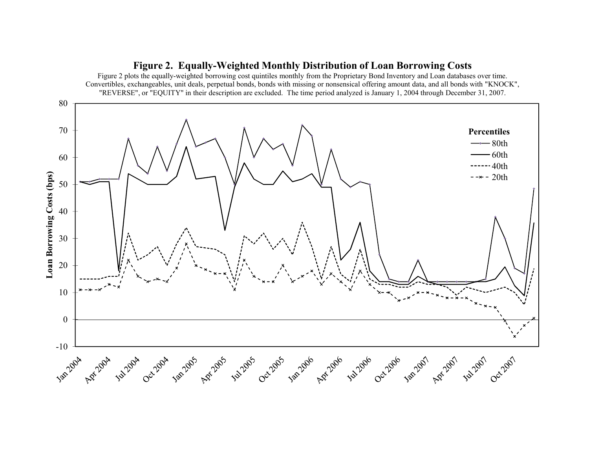

## **Figure 2. Equally-Weighted Monthly Distribution of Loan Borrowing Costs**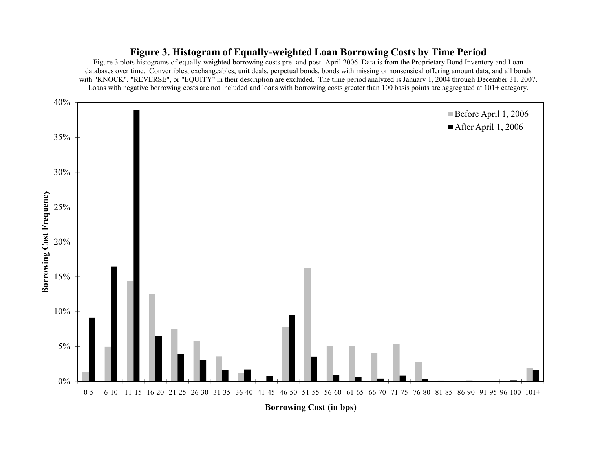# **Figure 3. Histogram of Equally-weighted Loan Borrowing Costs by Time Period**

Figure 3 plots histograms of equally-weighted borrowing costs pre- and post- April 2006. Data is from the Proprietary Bond Inventory and Loan databases over time. Convertibles, exchangeables, unit deals, perpetual bonds, bonds with missing or nonsensical offering amount data, and all bonds with "KNOCK", "REVERSE", or "EQUITY" in their description are excluded. The time period analyzed is January 1, 2004 through December 31, 2007. Loans with negative borrowing costs are not included and loans with borrowing costs greater than 100 basis points are aggregated at 101+ category.

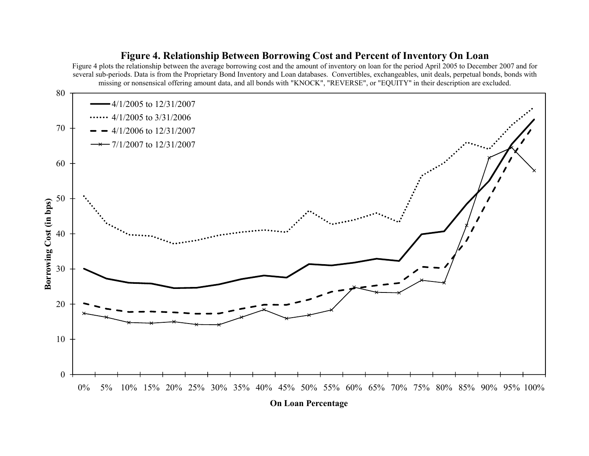# 4050 60 7080**g Cost (in bps)** 4/1/2005 to 12/31/2007  $\cdots$  4/1/2005 to 3/31/2006 4/1/2006 to 12/31/2007 7/1/2007 to 12/31/2007 missing or nonsensical offering amount data, and all bonds with "KNOCK", "REVERSE", or "EQUITY" in their description are excluded. 010 20 300% 5% 10% 15% 20% 25% 30% 35% 40% 45% 50% 55% 60% 65% 70% 75% 80% 85% 90% 95% 100% **Borrowin g**

# **Figure 4. Relationship Between Borrowing Cost and Percent of Inventory On Loan**

Figure 4 plots the relationship between the average borrowing cost and the amount of inventory on loan for the period April 2005 to December 2007 and for several sub-periods. Data is from the Proprietary Bond Inventory and Loan databases. Convertibles, exchangeables, unit deals, perpetual bonds, bonds with

**On Loan Percentage**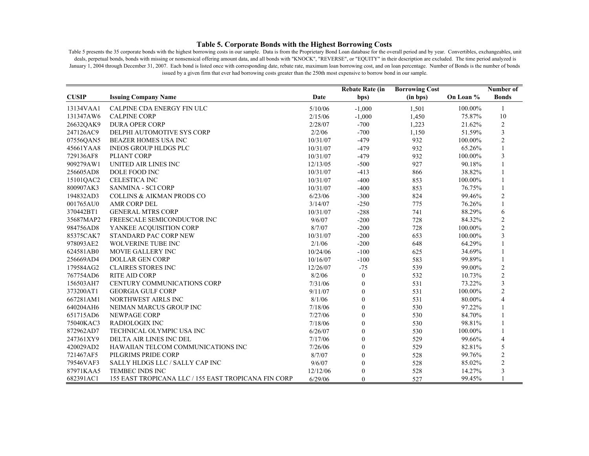#### **Table 5. Corporate Bonds with the Highest Borrowing Costs**

Table 5 presents the 35 corporate bonds with the highest borrowing costs in our sample. Data is from the Proprietary Bond Loan database for the overall period and by year. Convertibles, exchangeables, unit deals, perpetual bonds, bonds with missing or nonsensical offering amount data, and all bonds with "KNOCK", "REVERSE", or "EQUITY" in their description are excluded. The time period analyzed is January 1, 2004 through December 31, 2007. Each bond is listed once with corresponding date, rebate rate, maximum loan borrowing cost, and on loan percentage. Number of Bonds is the number of bonds issued by a given firm that ever had borrowing costs greater than the 250th most expensive to borrow bond in our sample.

|              |                                                      |          | <b>Rebate Rate (in</b> | <b>Borrowing Cost</b> |           | Number of                |
|--------------|------------------------------------------------------|----------|------------------------|-----------------------|-----------|--------------------------|
| <b>CUSIP</b> | <b>Issuing Company Name</b>                          | Date     | bps)                   | (in bps)              | On Loan % | <b>Bonds</b>             |
| 13134VAA1    | CALPINE CDA ENERGY FIN ULC                           | 5/10/06  | $-1,000$               | 1,501                 | 100.00%   | 1                        |
| 131347AW6    | <b>CALPINE CORP</b>                                  | 2/15/06  | $-1,000$               | 1,450                 | 75.87%    | 10                       |
| 26632QAK9    | <b>DURA OPER CORP</b>                                | 2/28/07  | $-700$                 | 1,223                 | 21.62%    | $\overline{2}$           |
| 247126AC9    | DELPHI AUTOMOTIVE SYS CORP                           | 2/2/06   | $-700$                 | 1,150                 | 51.59%    | $\overline{\mathbf{3}}$  |
| 07556QAN5    | BEAZER HOMES USA INC                                 | 10/31/07 | $-479$                 | 932                   | 100.00%   | $\overline{2}$           |
| 45661YAA8    | <b>INEOS GROUP HLDGS PLC</b>                         | 10/31/07 | $-479$                 | 932                   | 65.26%    | $\mathbf{1}$             |
| 729136AF8    | PLIANT CORP                                          | 10/31/07 | $-479$                 | 932                   | 100.00%   | 3                        |
| 909279AW1    | UNITED AIR LINES INC                                 | 12/13/05 | $-500$                 | 927                   | 90.18%    | $\mathbf{1}$             |
| 256605AD8    | DOLE FOOD INC                                        | 10/31/07 | $-413$                 | 866                   | 38.82%    |                          |
| 15101QAC2    | <b>CELESTICA INC</b>                                 | 10/31/07 | $-400$                 | 853                   | 100.00%   | 1                        |
| 800907AK3    | <b>SANMINA - SCI CORP</b>                            | 10/31/07 | $-400$                 | 853                   | 76.75%    |                          |
| 194832AD3    | <b>COLLINS &amp; AIKMAN PRODS CO</b>                 | 6/23/06  | $-300$                 | 824                   | 99.46%    | $\overline{c}$           |
| 001765AU0    | AMR CORP DEL                                         | 3/14/07  | $-250$                 | 775                   | 76.26%    | $\mathbf{1}$             |
| 370442BT1    | <b>GENERAL MTRS CORP</b>                             | 10/31/07 | $-288$                 | 741                   | 88.29%    | 6                        |
| 35687MAP2    | FREESCALE SEMICONDUCTOR INC                          | 9/6/07   | $-200$                 | 728                   | 84.32%    | $\overline{c}$           |
| 984756AD8    | YANKEE ACQUISITION CORP                              | 8/7/07   | $-200$                 | 728                   | 100.00%   | $\overline{2}$           |
| 85375CAK7    | STANDARD PAC CORP NEW                                | 10/31/07 | $-200$                 | 653                   | 100.00%   | $\overline{\mathbf{3}}$  |
| 978093AE2    | <b>WOLVERINE TUBE INC</b>                            | 2/1/06   | $-200$                 | 648                   | 64.29%    | $\mathbf{1}$             |
| 624581AB0    | MOVIE GALLERY INC                                    | 10/24/06 | $-100$                 | 625                   | 34.69%    | $\mathbf{1}$             |
| 256669AD4    | <b>DOLLAR GEN CORP</b>                               | 10/16/07 | $-100$                 | 583                   | 99.89%    | $\mathbf{1}$             |
| 179584AG2    | <b>CLAIRES STORES INC</b>                            | 12/26/07 | $-75$                  | 539                   | 99.00%    | $\overline{c}$           |
| 767754AD6    | <b>RITE AID CORP</b>                                 | 8/2/06   | $\boldsymbol{0}$       | 532                   | 10.73%    | $\overline{c}$           |
| 156503AH7    | CENTURY COMMUNICATIONS CORP                          | 7/31/06  | $\boldsymbol{0}$       | 531                   | 73.22%    | $\overline{\mathbf{3}}$  |
| 373200AT1    | <b>GEORGIA GULF CORP</b>                             | 9/11/07  | $\boldsymbol{0}$       | 531                   | 100.00%   | $\overline{2}$           |
| 667281AM1    | NORTHWEST AIRLS INC                                  | 8/1/06   | $\boldsymbol{0}$       | 531                   | 80.00%    | $\overline{4}$           |
| 640204AH6    | NEIMAN MARCUS GROUP INC                              | 7/18/06  | $\boldsymbol{0}$       | 530                   | 97.22%    | $\mathbf{1}$             |
| 651715AD6    | <b>NEWPAGE CORP</b>                                  | 7/27/06  | 0                      | 530                   | 84.70%    |                          |
| 75040KAC3    | RADIOLOGIX INC                                       | 7/18/06  | $\overline{0}$         | 530                   | 98.81%    | $\mathbf{1}$             |
| 872962AD7    | TECHNICAL OLYMPIC USA INC                            | 6/26/07  | $\boldsymbol{0}$       | 530                   | 100.00%   | $\mathbf{1}$             |
| 247361XY9    | DELTA AIR LINES INC DEL                              | 7/17/06  | $\boldsymbol{0}$       | 529                   | 99.66%    | $\overline{\mathcal{L}}$ |
| 420029AD2    | HAWAIIAN TELCOM COMMUNICATIONS INC                   | 7/26/06  | $\boldsymbol{0}$       | 529                   | 82.81%    | 5                        |
| 721467AF5    | PILGRIMS PRIDE CORP                                  | 8/7/07   | $\overline{0}$         | 528                   | 99.76%    | $\overline{2}$           |
| 79546VAF3    | SALLY HLDGS LLC / SALLY CAP INC                      | 9/6/07   | $\boldsymbol{0}$       | 528                   | 85.02%    | $\overline{2}$           |
| 87971KAA5    | <b>TEMBEC INDS INC</b>                               | 12/12/06 | $\boldsymbol{0}$       | 528                   | 14.27%    | $\overline{\mathbf{3}}$  |
| 682391AC1    | 155 EAST TROPICANA LLC / 155 EAST TROPICANA FIN CORP | 6/29/06  | $\theta$               | 527                   | 99.45%    |                          |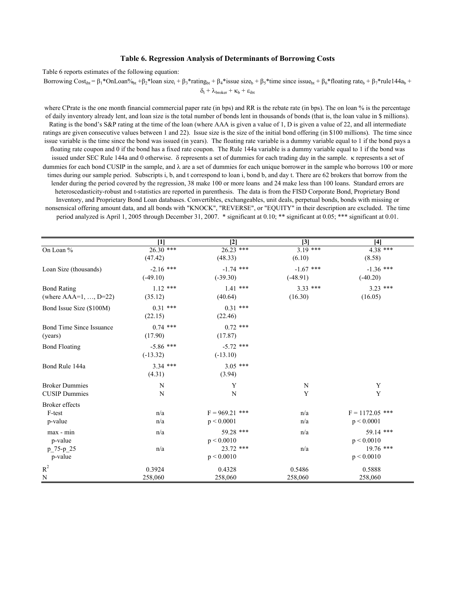#### **Table 6. Regression Analysis of Determinants of Borrowing Costs**

Table 6 reports estimates of the following equation:

Borrowing Cost<sub>ibt</sub> = β<sub>1</sub>\*OnLoan%<sub>bt</sub> +β<sub>2</sub>\*loan size<sub>i</sub> + β<sub>3</sub>\*rating<sub>bt</sub> + β<sub>4</sub>\*issue size<sub>b</sub> + β<sub>5</sub>\*time since issue<sub>bt</sub> + β<sub>6</sub>\*floating rate<sub>b</sub> + β<sub>7</sub>\*rule144a<sub>b</sub> +

 $\delta_t + \lambda_{\text{broken}} + \kappa_b + \varepsilon_{\text{ibt}}$ 

where CPrate is the one month financial commercial paper rate (in bps) and RR is the rebate rate (in bps). The on loan % is the percentage of daily inventory already lent, and loan size is the total number of bonds lent in thousands of bonds (that is, the loan value in \$ millions). Rating is the bond's S&P rating at the time of the loan (where AAA is given a value of 1, D is given a value of 22, and all intermediate ratings are given consecutive values between 1 and 22). Issue size is the size of the initial bond offering (in \$100 millions). The time since issue variable is the time since the bond was issued (in years). The floating rate variable is a dummy variable equal to 1 if the bond pays a floating rate coupon and 0 if the bond has a fixed rate coupon. The Rule 144a variable is a dummy variable equal to 1 if the bond was issued under SEC Rule 144a and 0 otherwise. δ represents a set of dummies for each trading day in the sample. κ represents a set of dummies for each bond CUSIP in the sample, and  $\lambda$  are a set of dummies for each unique borrower in the sample who borrows 100 or more times during our sample period. Subscripts i, b, and t correspond to loan i, bond b, and day t. There are 62 brokers that borrow from the lender during the period covered by the regression, 38 make 100 or more loans and 24 make less than 100 loans. Standard errors are heteroscedasticity-robust and t-statistics are reported in parenthesis. The data is from the FISD Corporate Bond, Proprietary Bond Inventory, and Proprietary Bond Loan databases. Convertibles, exchangeables, unit deals, perpetual bonds, bonds with missing or nonsensical offering amount data, and all bonds with "KNOCK", "REVERSE", or "EQUITY" in their description are excluded. The time period analyzed is April 1, 2005 through December 31, 2007. \* significant at 0.10; \*\* significant at 0.05; \*\*\* significant at 0.01.

|                          | $\overline{11}$ | $\overline{2}$   | $\overline{3}$ | $\overline{[4]}$  |
|--------------------------|-----------------|------------------|----------------|-------------------|
| On Loan %                | $26.30***$      | $26.23$ ***      | $3.19$ ***     | 4.38 ***          |
|                          | (47.42)         | (48.33)          | (6.10)         | (8.58)            |
| Loan Size (thousands)    | $-2.16$ ***     | $-1.74$ ***      | $-1.67$ ***    | $-1.36$ ***       |
|                          | $(-49.10)$      | $(-39.30)$       | $(-48.91)$     | $(-40.20)$        |
| <b>Bond Rating</b>       | $1.12$ ***      | $1.41$ ***       | $3.33***$      | $3.23$ ***        |
| (where $AA=1, , D=22$ )  | (35.12)         | (40.64)          | (16.30)        | (16.05)           |
| Bond Issue Size (\$100M) | $0.31$ ***      | $0.31$ ***       |                |                   |
|                          | (22.15)         | (22.46)          |                |                   |
| Bond Time Since Issuance | $0.74$ ***      | $0.72$ ***       |                |                   |
| (years)                  | (17.90)         | (17.87)          |                |                   |
| <b>Bond Floating</b>     | $-5.86$ ***     | $-5.72$ ***      |                |                   |
|                          | $(-13.32)$      | $(-13.10)$       |                |                   |
| Bond Rule 144a           | $3.34$ ***      | $3.05$ ***       |                |                   |
|                          | (4.31)          | (3.94)           |                |                   |
| <b>Broker Dummies</b>    | N               | Y                | N              | Y                 |
| <b>CUSIP Dummies</b>     | N               | $\mathbf N$      | Y              | Y                 |
| <b>Broker</b> effects    |                 |                  |                |                   |
| F-test                   | n/a             | $F = 969.21$ *** | n/a            | $F = 1172.05$ *** |
| p-value                  | n/a             | p < 0.0001       | n/a            | p < 0.0001        |
| $max - min$              | n/a             | 59.28 ***        | n/a            | 59.14 ***         |
| p-value                  |                 | p < 0.0010       |                | p < 0.0010        |
| p 75-p 25                | n/a             | $23.72$ ***      | n/a            | $19.76$ ***       |
| p-value                  |                 | p < 0.0010       |                | p < 0.0010        |
| $R^2$                    | 0.3924          | 0.4328           | 0.5486         | 0.5888            |
| $\mathbf N$              | 258,060         | 258,060          | 258,060        | 258,060           |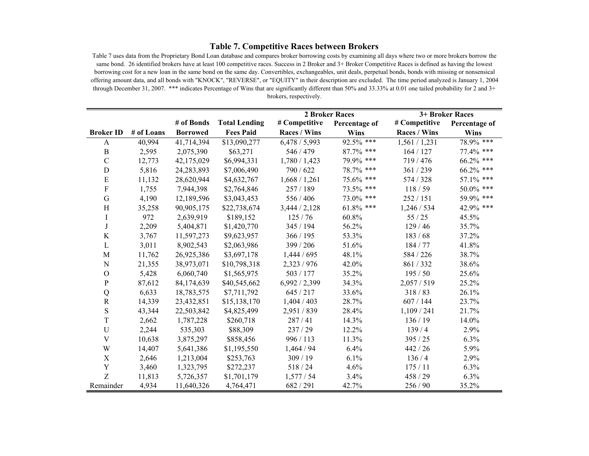## **Table 7. Competitive Races between Brokers**

Table 7 uses data from the Proprietary Bond Loan database and compares broker borrowing costs by examining all days where two or more brokers borrow the same bond. 26 identified brokers have at least 100 competitive races. Success in 2 Broker and 3+ Broker Competitive Races is defined as having the lowest borrowing cost for a new loan in the same bond on the same day. Convertibles, exchangeables, unit deals, perpetual bonds, bonds with missing or nonsensical offering amount data, and all bonds with "KNOCK", "REVERSE", or "EQUITY" in their description are excluded. The time period analyzed is January 1, 2004 through December 31, 2007. \*\*\* indicates Percentage of Wins that are significantly different than 50% and 33.33% at 0.01 one tailed probability for 2 and 3+ brokers, respectively.

|                  |            |                 |                      |                     | <b>2 Broker Races</b> |                     | 3+ Broker Races |
|------------------|------------|-----------------|----------------------|---------------------|-----------------------|---------------------|-----------------|
|                  |            | # of Bonds      | <b>Total Lending</b> | # Competitive       | Percentage of         | # Competitive       | Percentage of   |
| <b>Broker ID</b> | # of Loans | <b>Borrowed</b> | <b>Fees Paid</b>     | <b>Races / Wins</b> | <b>Wins</b>           | <b>Races / Wins</b> | <b>Wins</b>     |
| A                | 40,994     | 41,714,394      | \$13,090,277         | 6,478/5,993         | $92.5\%$ ***          | 1,561/1,231         | 78.9% ***       |
| $\, {\bf B}$     | 2,595      | 2,075,390       | \$63,271             | 546 / 479           | 87.7% ***             | 164 / 127           | 77.4% ***       |
| $\mathcal{C}$    | 12,773     | 42,175,029      | \$6,994,331          | 1,780 / 1,423       | 79.9% ***             | 719/476             | 66.2% ***       |
| $\mathbf D$      | 5,816      | 24, 283, 893    | \$7,006,490          | 790 / 622           | 78.7% ***             | 361 / 239           | 66.2% ***       |
| E                | 11,132     | 28,620,944      | \$4,632,767          | 1,668/1,261         | 75.6% ***             | 574 / 328           | 57.1% ***       |
| ${\bf F}$        | 1,755      | 7,944,398       | \$2,764,846          | 257 / 189           | 73.5% ***             | 118/59              | 50.0% ***       |
| $\mathbf G$      | 4,190      | 12,189,596      | \$3,043,453          | 556 / 406           | 73.0% ***             | 252 / 151           | 59.9% ***       |
| H                | 35,258     | 90,905,175      | \$22,738,674         | 3,444/2,128         | $61.8\%$ ***          | 1,246/534           | 42.9% ***       |
| $\rm I$          | 972        | 2,639,919       | \$189,152            | 125/76              | 60.8%                 | 55/25               | 45.5%           |
| J                | 2,209      | 5,404,871       | \$1,420,770          | 345 / 194           | 56.2%                 | 129/46              | 35.7%           |
| $\rm K$          | 3,767      | 11,597,273      | \$9,623,957          | 366 / 195           | 53.3%                 | 183/68              | 37.2%           |
| L                | 3,011      | 8,902,543       | \$2,063,986          | 399 / 206           | 51.6%                 | 184 / 77            | 41.8%           |
| M                | 11,762     | 26,925,386      | \$3,697,178          | 1,444 / 695         | 48.1%                 | 584 / 226           | 38.7%           |
| N                | 21,355     | 38,973,071      | \$10,798,318         | 2,323 / 976         | 42.0%                 | 861/332             | 38.6%           |
| $\overline{O}$   | 5,428      | 6,060,740       | \$1,565,975          | 503 / 177           | 35.2%                 | 195/50              | 25.6%           |
| ${\bf P}$        | 87,612     | 84,174,639      | \$40,545,662         | 6,992 / 2,399       | 34.3%                 | 2,057/519           | 25.2%           |
| ${\bf Q}$        | 6,633      | 18,783,575      | \$7,711,792          | 645 / 217           | 33.6%                 | 318/83              | 26.1%           |
| ${\bf R}$        | 14,339     | 23,432,851      | \$15,138,170         | 1,404/403           | 28.7%                 | 607 / 144           | 23.7%           |
| S                | 43,344     | 22,503,842      | \$4,825,499          | 2,951/839           | 28.4%                 | 1,109/241           | 21.7%           |
| T                | 2,662      | 1,787,228       | \$260,718            | 287/41              | 14.3%                 | 136 / 19            | 14.0%           |
| U                | 2,244      | 535,303         | \$88,309             | 237/29              | 12.2%                 | 139/4               | 2.9%            |
| V                | 10,638     | 3,875,297       | \$858,456            | 996 / 113           | 11.3%                 | 395 / 25            | 6.3%            |
| W                | 14,407     | 5,641,386       | \$1,195,550          | 1,464 / 94          | 6.4%                  | 442 / 26            | 5.9%            |
| $\mathbf X$      | 2,646      | 1,213,004       | \$253,763            | 309/19              | 6.1%                  | 136/4               | 2.9%            |
| Y                | 3,460      | 1,323,795       | \$272,237            | 518/24              | 4.6%                  | 175/11              | 6.3%            |
| Z                | 11,813     | 5,726,357       | \$1,701,179          | 1,577/54            | 3.4%                  | 458 / 29            | 6.3%            |
| Remainder        | 4,934      | 11,640,326      | 4,764,471            | 682 / 291           | 42.7%                 | 256 / 90            | 35.2%           |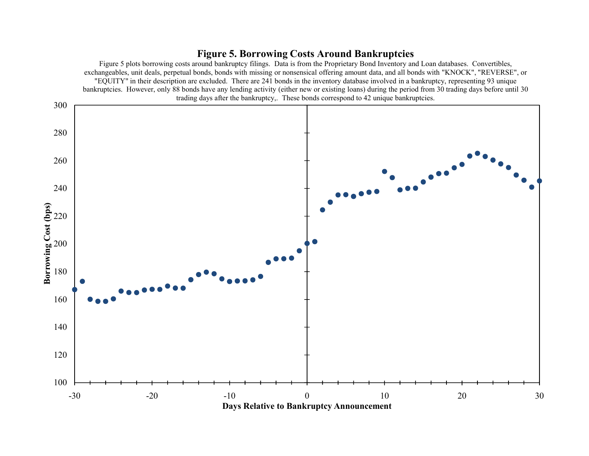# **Figure 5. Borrowing Costs Around Bankruptcies**

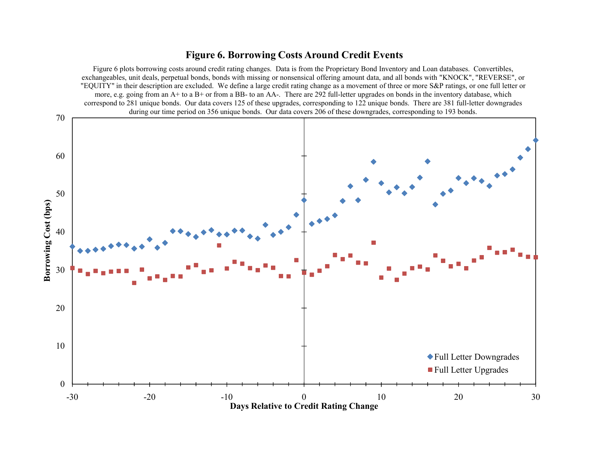# **Figure 6. Borrowing Costs Around Credit Events**

Figure 6 plots borrowing costs around credit rating changes. Data is from the Proprietary Bond Inventory and Loan databases. Convertibles, exchangeables, unit deals, perpetual bonds, bonds with missing or nonsensical offering amount data, and all bonds with "KNOCK", "REVERSE", or "EQUITY" in their description are excluded. We define a large credit rating change as a movement of three or more S&P ratings, or one full letter or more, e.g. going from an A+ to a B+ or from a BB- to an AA-. There are 292 full-letter upgrades on bonds in the inventory database, which correspond to 281 unique bonds. Our data covers 125 of these upgrades, corresponding to 122 unique bonds. There are 381 full-letter downgrades during our time period on 356 unique bonds. Our data covers 206 of these downgrades, corresponding to 193 bonds.

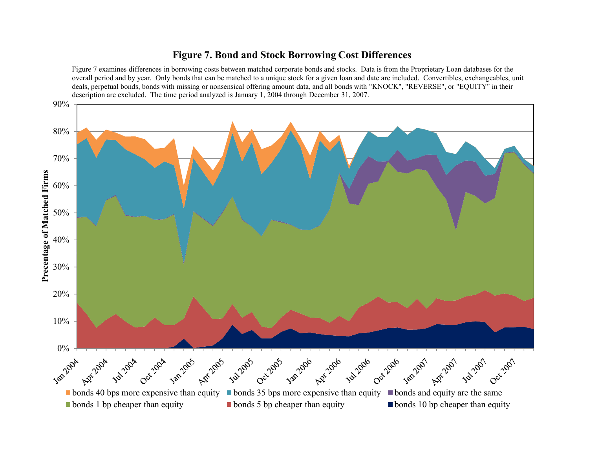# **Figure 7. Bond and Stock Borrowing Cost Differences**

Figure 7 examines differences in borrowing costs between matched corporate bonds and stocks. Data is from the Proprietary Loan databases for the overall period and by year. Only bonds that can be matched to a unique stock for a given loan and date are included. Convertibles, exchangeables, unit deals, perpetual bonds, bonds with missing or nonsensical offering amount data, and all bonds with "KNOCK", "REVERSE", or "EQUITY" in their description are excluded. The time period analyzed is January 1, 2004 through December 31, 2007.

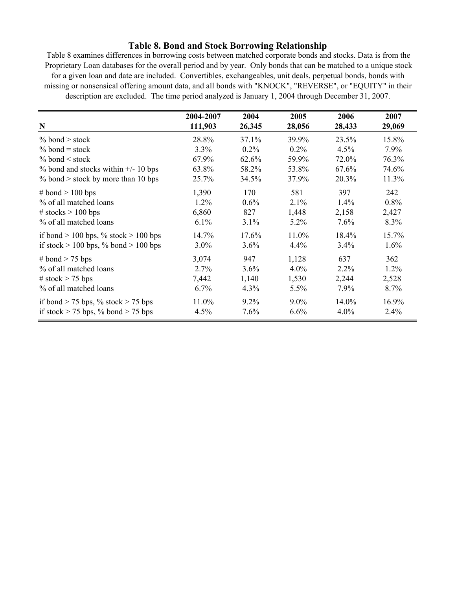## **Table 8. Bond and Stock Borrowing Relationship**

Table 8 examines differences in borrowing costs between matched corporate bonds and stocks. Data is from the Proprietary Loan databases for the overall period and by year. Only bonds that can be matched to a unique stock for a given loan and date are included. Convertibles, exchangeables, unit deals, perpetual bonds, bonds with missing or nonsensical offering amount data, and all bonds with "KNOCK", "REVERSE", or "EQUITY" in their description are excluded. The time period analyzed is January 1, 2004 through December 31, 2007.

|                                          | 2004-2007 | 2004    | 2005    | 2006    | 2007    |
|------------------------------------------|-----------|---------|---------|---------|---------|
| $\mathbf N$                              | 111,903   | 26,345  | 28,056  | 28,433  | 29,069  |
| % bond > stock                           | 28.8%     | 37.1%   | 39.9%   | 23.5%   | 15.8%   |
| $%$ bond = stock                         | 3.3%      | $0.2\%$ | $0.2\%$ | 4.5%    | $7.9\%$ |
| $\%$ bond < stock                        | 67.9%     | 62.6%   | 59.9%   | 72.0%   | 76.3%   |
| $\%$ bond and stocks within $+/- 10$ bps | 63.8%     | 58.2%   | 53.8%   | 67.6%   | 74.6%   |
| $%$ bond > stock by more than 10 bps     | 25.7%     | 34.5%   | 37.9%   | 20.3%   | 11.3%   |
| # bond $> 100$ bps                       | 1,390     | 170     | 581     | 397     | 242     |
| % of all matched loans                   | 1.2%      | 0.6%    | 2.1%    | 1.4%    | 0.8%    |
| # stocks $> 100$ bps                     | 6,860     | 827     | 1,448   | 2,158   | 2,427   |
| % of all matched loans                   | 6.1%      | 3.1%    | 5.2%    | 7.6%    | 8.3%    |
| if bond $> 100$ bps, % stock $> 100$ bps | 14.7%     | 17.6%   | 11.0%   | 18.4%   | 15.7%   |
| if stock $> 100$ bps, % bond $> 100$ bps | $3.0\%$   | 3.6%    | 4.4%    | 3.4%    | $1.6\%$ |
| # bond $>$ 75 bps                        | 3,074     | 947     | 1,128   | 637     | 362     |
| % of all matched loans                   | 2.7%      | 3.6%    | $4.0\%$ | $2.2\%$ | $1.2\%$ |
| # stock $> 75$ bps                       | 7,442     | 1,140   | 1,530   | 2,244   | 2,528   |
| % of all matched loans                   | 6.7%      | 4.3%    | 5.5%    | 7.9%    | 8.7%    |
| if bond $> 75$ bps, % stock $> 75$ bps   | 11.0%     | $9.2\%$ | $9.0\%$ | 14.0%   | 16.9%   |
| if stock $> 75$ bps, % bond $> 75$ bps   | 4.5%      | 7.6%    | 6.6%    | 4.0%    | 2.4%    |